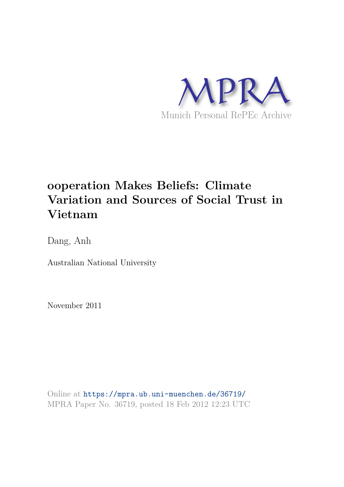

# **ooperation Makes Beliefs: Climate Variation and Sources of Social Trust in Vietnam**

Dang, Anh

Australian National University

November 2011

Online at https://mpra.ub.uni-muenchen.de/36719/ MPRA Paper No. 36719, posted 18 Feb 2012 12:23 UTC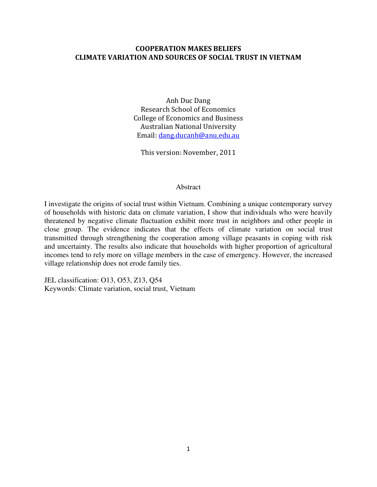# **COOPERATION MAKES BELIEFS CLIMATE VARIATION AND SOURCES OF SOCIAL TRUST IN VIETNAM**

Anh Duc Dang Research School of Economics College of Economics and Business Australian National University Email[: dang.ducanh@anu.edu.au](mailto:dang.ducanh@anu.edu.au)

This version: November, 2011

## Abstract

I investigate the origins of social trust within Vietnam. Combining a unique contemporary survey of households with historic data on climate variation, I show that individuals who were heavily threatened by negative climate fluctuation exhibit more trust in neighbors and other people in close group. The evidence indicates that the effects of climate variation on social trust transmitted through strengthening the cooperation among village peasants in coping with risk and uncertainty. The results also indicate that households with higher proportion of agricultural incomes tend to rely more on village members in the case of emergency. However, the increased village relationship does not erode family ties.

JEL classification: O13, O53, Z13, Q54 Keywords: Climate variation, social trust, Vietnam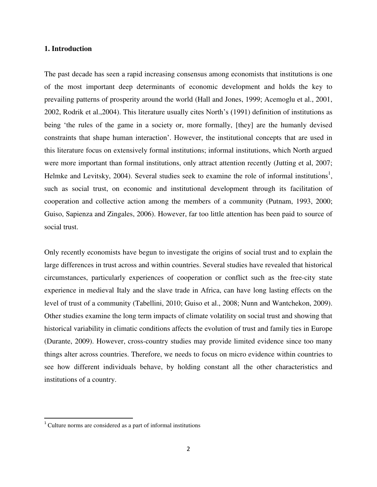## **1. Introduction**

The past decade has seen a rapid increasing consensus among economists that institutions is one of the most important deep determinants of economic development and holds the key to prevailing patterns of prosperity around the world (Hall and Jones, 1999; Acemoglu et al., 2001, 2002, Rodrik et al.,2004). This literature usually cites North"s (1991) definition of institutions as being "the rules of the game in a society or, more formally, [they] are the humanly devised constraints that shape human interaction". However, the institutional concepts that are used in this literature focus on extensively formal institutions; informal institutions, which North argued were more important than formal institutions, only attract attention recently (Jutting et al, 2007; Helmke and Levitsky, 2004). Several studies seek to examine the role of informal institutions<sup>1</sup>, such as social trust, on economic and institutional development through its facilitation of cooperation and collective action among the members of a community (Putnam, 1993, 2000; Guiso, Sapienza and Zingales, 2006). However, far too little attention has been paid to source of social trust.

Only recently economists have begun to investigate the origins of social trust and to explain the large differences in trust across and within countries. Several studies have revealed that historical circumstances, particularly experiences of cooperation or conflict such as the free-city state experience in medieval Italy and the slave trade in Africa, can have long lasting effects on the level of trust of a community (Tabellini, 2010; Guiso et al., 2008; Nunn and Wantchekon, 2009). Other studies examine the long term impacts of climate volatility on social trust and showing that historical variability in climatic conditions affects the evolution of trust and family ties in Europe (Durante, 2009). However, cross-country studies may provide limited evidence since too many things alter across countries. Therefore, we needs to focus on micro evidence within countries to see how different individuals behave, by holding constant all the other characteristics and institutions of a country.

 $\overline{a}$ 

<sup>&</sup>lt;sup>1</sup> Culture norms are considered as a part of informal institutions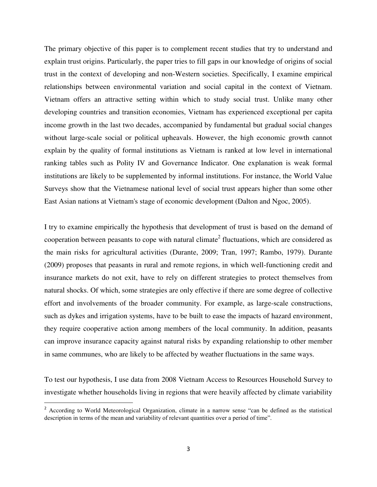The primary objective of this paper is to complement recent studies that try to understand and explain trust origins. Particularly, the paper tries to fill gaps in our knowledge of origins of social trust in the context of developing and non-Western societies. Specifically, I examine empirical relationships between environmental variation and social capital in the context of Vietnam. Vietnam offers an attractive setting within which to study social trust. Unlike many other developing countries and transition economies, Vietnam has experienced exceptional per capita income growth in the last two decades, accompanied by fundamental but gradual social changes without large-scale social or political upheavals. However, the high economic growth cannot explain by the quality of formal institutions as Vietnam is ranked at low level in international ranking tables such as Polity IV and Governance Indicator. One explanation is weak formal institutions are likely to be supplemented by informal institutions. For instance, the World Value Surveys show that the Vietnamese national level of social trust appears higher than some other East Asian nations at Vietnam's stage of economic development (Dalton and Ngoc, 2005).

I try to examine empirically the hypothesis that development of trust is based on the demand of cooperation between peasants to cope with natural climate<sup>2</sup> fluctuations, which are considered as the main risks for agricultural activities (Durante, 2009; Tran, 1997; Rambo, 1979). Durante (2009) proposes that peasants in rural and remote regions, in which well-functioning credit and insurance markets do not exit, have to rely on different strategies to protect themselves from natural shocks. Of which, some strategies are only effective if there are some degree of collective effort and involvements of the broader community. For example, as large-scale constructions, such as dykes and irrigation systems, have to be built to ease the impacts of hazard environment, they require cooperative action among members of the local community. In addition, peasants can improve insurance capacity against natural risks by expanding relationship to other member in same communes, who are likely to be affected by weather fluctuations in the same ways.

To test our hypothesis, I use data from 2008 Vietnam Access to Resources Household Survey to investigate whether households living in regions that were heavily affected by climate variability

l

<sup>2</sup> According to World Meteorological Organization, climate in a narrow sense "can be defined as the statistical description in terms of the mean and variability of relevant quantities over a period of time".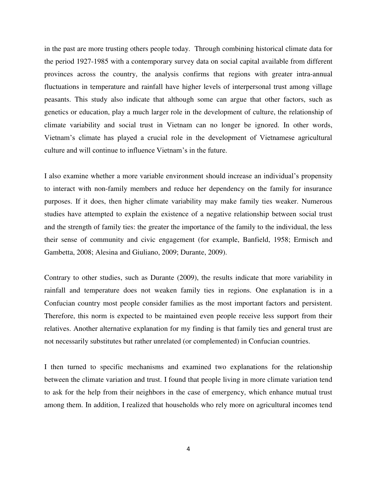in the past are more trusting others people today. Through combining historical climate data for the period 1927-1985 with a contemporary survey data on social capital available from different provinces across the country, the analysis confirms that regions with greater intra-annual fluctuations in temperature and rainfall have higher levels of interpersonal trust among village peasants. This study also indicate that although some can argue that other factors, such as genetics or education, play a much larger role in the development of culture, the relationship of climate variability and social trust in Vietnam can no longer be ignored. In other words, Vietnam"s climate has played a crucial role in the development of Vietnamese agricultural culture and will continue to influence Vietnam"s in the future.

I also examine whether a more variable environment should increase an individual"s propensity to interact with non-family members and reduce her dependency on the family for insurance purposes. If it does, then higher climate variability may make family ties weaker. Numerous studies have attempted to explain the existence of a negative relationship between social trust and the strength of family ties: the greater the importance of the family to the individual, the less their sense of community and civic engagement (for example, Banfield, 1958; Ermisch and Gambetta, 2008; Alesina and Giuliano, 2009; Durante, 2009).

Contrary to other studies, such as Durante (2009), the results indicate that more variability in rainfall and temperature does not weaken family ties in regions. One explanation is in a Confucian country most people consider families as the most important factors and persistent. Therefore, this norm is expected to be maintained even people receive less support from their relatives. Another alternative explanation for my finding is that family ties and general trust are not necessarily substitutes but rather unrelated (or complemented) in Confucian countries.

I then turned to specific mechanisms and examined two explanations for the relationship between the climate variation and trust. I found that people living in more climate variation tend to ask for the help from their neighbors in the case of emergency, which enhance mutual trust among them. In addition, I realized that households who rely more on agricultural incomes tend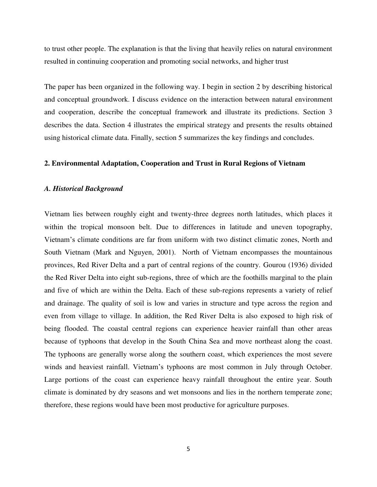to trust other people. The explanation is that the living that heavily relies on natural environment resulted in continuing cooperation and promoting social networks, and higher trust

The paper has been organized in the following way. I begin in section 2 by describing historical and conceptual groundwork. I discuss evidence on the interaction between natural environment and cooperation, describe the conceptual framework and illustrate its predictions. Section 3 describes the data. Section 4 illustrates the empirical strategy and presents the results obtained using historical climate data. Finally, section 5 summarizes the key findings and concludes.

# **2. Environmental Adaptation, Cooperation and Trust in Rural Regions of Vietnam**

## *A. Historical Background*

Vietnam lies between roughly eight and twenty-three degrees north latitudes, which places it within the tropical monsoon belt. Due to differences in latitude and uneven topography, Vietnam"s climate conditions are far from uniform with two distinct climatic zones, North and South Vietnam (Mark and Nguyen, 2001). North of Vietnam encompasses the mountainous provinces, Red River Delta and a part of central regions of the country. Gourou (1936) divided the Red River Delta into eight sub-regions, three of which are the foothills marginal to the plain and five of which are within the Delta. Each of these sub-regions represents a variety of relief and drainage. The quality of soil is low and varies in structure and type across the region and even from village to village. In addition, the Red River Delta is also exposed to high risk of being flooded. The coastal central regions can experience heavier rainfall than other areas because of typhoons that develop in the South China Sea and move northeast along the coast. The typhoons are generally worse along the southern coast, which experiences the most severe winds and heaviest rainfall. Vietnam"s typhoons are most common in July through October. Large portions of the coast can experience heavy rainfall throughout the entire year. South climate is dominated by dry seasons and wet monsoons and lies in the northern temperate zone; therefore, these regions would have been most productive for agriculture purposes.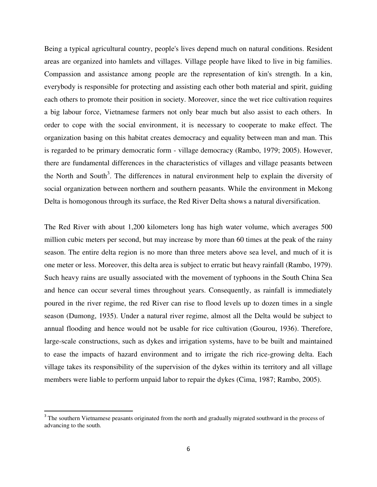Being a typical agricultural country, people's lives depend much on natural conditions. Resident areas are organized into hamlets and villages. Village people have liked to live in big families. Compassion and assistance among people are the representation of kin's strength. In a kin, everybody is responsible for protecting and assisting each other both material and spirit, guiding each others to promote their position in society. Moreover, since the wet rice cultivation requires a big labour force, Vietnamese farmers not only bear much but also assist to each others. In order to cope with the social environment, it is necessary to cooperate to make effect. The organization basing on this habitat creates democracy and equality between man and man. This is regarded to be primary democratic form - village democracy (Rambo, 1979; 2005). However, there are fundamental differences in the characteristics of villages and village peasants between the North and South<sup>3</sup>. The differences in natural environment help to explain the diversity of social organization between northern and southern peasants. While the environment in Mekong Delta is homogonous through its surface, the Red River Delta shows a natural diversification.

The Red River with about 1,200 kilometers long has high water volume, which averages 500 million cubic meters per second, but may increase by more than 60 times at the peak of the rainy season. The entire delta region is no more than three meters above sea level, and much of it is one meter or less. Moreover, this delta area is subject to erratic but heavy rainfall (Rambo, 1979). Such heavy rains are usually associated with the movement of typhoons in the South China Sea and hence can occur several times throughout years. Consequently, as rainfall is immediately poured in the river regime, the red River can rise to flood levels up to dozen times in a single season (Dumong, 1935). Under a natural river regime, almost all the Delta would be subject to annual flooding and hence would not be usable for rice cultivation (Gourou, 1936). Therefore, large-scale constructions, such as dykes and irrigation systems, have to be built and maintained to ease the impacts of hazard environment and to irrigate the rich rice-growing delta. Each village takes its responsibility of the supervision of the dykes within its territory and all village members were liable to perform unpaid labor to repair the dykes (Cima, 1987; Rambo, 2005).

l

<sup>&</sup>lt;sup>3</sup> The southern Vietnamese peasants originated from the north and gradually migrated southward in the process of advancing to the south.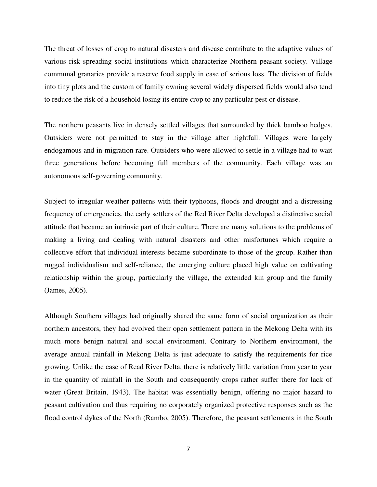The threat of losses of crop to natural disasters and disease contribute to the adaptive values of various risk spreading social institutions which characterize Northern peasant society. Village communal granaries provide a reserve food supply in case of serious loss. The division of fields into tiny plots and the custom of family owning several widely dispersed fields would also tend to reduce the risk of a household losing its entire crop to any particular pest or disease.

The northern peasants live in densely settled villages that surrounded by thick bamboo hedges. Outsiders were not permitted to stay in the village after nightfall. Villages were largely endogamous and in-migration rare. Outsiders who were allowed to settle in a village had to wait three generations before becoming full members of the community. Each village was an autonomous self-governing community.

Subject to irregular weather patterns with their typhoons, floods and drought and a distressing frequency of emergencies, the early settlers of the Red River Delta developed a distinctive social attitude that became an intrinsic part of their culture. There are many solutions to the problems of making a living and dealing with natural disasters and other misfortunes which require a collective effort that individual interests became subordinate to those of the group. Rather than rugged individualism and self-reliance, the emerging culture placed high value on cultivating relationship within the group, particularly the village, the extended kin group and the family (James, 2005).

Although Southern villages had originally shared the same form of social organization as their northern ancestors, they had evolved their open settlement pattern in the Mekong Delta with its much more benign natural and social environment. Contrary to Northern environment, the average annual rainfall in Mekong Delta is just adequate to satisfy the requirements for rice growing. Unlike the case of Read River Delta, there is relatively little variation from year to year in the quantity of rainfall in the South and consequently crops rather suffer there for lack of water (Great Britain, 1943). The habitat was essentially benign, offering no major hazard to peasant cultivation and thus requiring no corporately organized protective responses such as the flood control dykes of the North (Rambo, 2005). Therefore, the peasant settlements in the South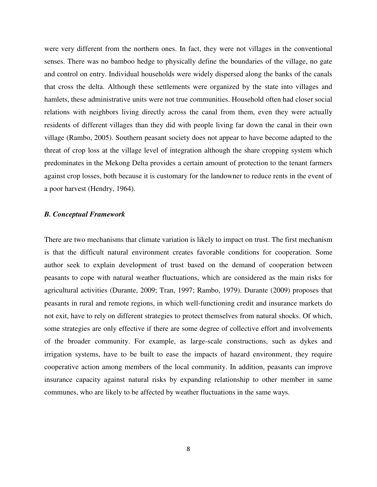were very different from the northern ones. In fact, they were not villages in the conventional senses. There was no bamboo hedge to physically define the boundaries of the village, no gate and control on entry. Individual households were widely dispersed along the banks of the canals that cross the delta. Although these settlements were organized by the state into villages and hamlets, these administrative units were not true communities. Household often had closer social relations with neighbors living directly across the canal from them, even they were actually residents of different villages than they did with people living far down the canal in their own village (Rambo, 2005). Southern peasant society does not appear to have become adapted to the threat of crop loss at the village level of integration although the share cropping system which predominates in the Mekong Delta provides a certain amount of protection to the tenant farmers against crop losses, both because it is customary for the landowner to reduce rents in the event of a poor harvest (Hendry, 1964).

## *B. Conceptual Framework*

There are two mechanisms that climate variation is likely to impact on trust. The first mechanism is that the difficult natural environment creates favorable conditions for cooperation. Some author seek to explain development of trust based on the demand of cooperation between peasants to cope with natural weather fluctuations, which are considered as the main risks for agricultural activities (Durante, 2009; Tran, 1997; Rambo, 1979). Durante (2009) proposes that peasants in rural and remote regions, in which well-functioning credit and insurance markets do not exit, have to rely on different strategies to protect themselves from natural shocks. Of which, some strategies are only effective if there are some degree of collective effort and involvements of the broader community. For example, as large-scale constructions, such as dykes and irrigation systems, have to be built to ease the impacts of hazard environment, they require cooperative action among members of the local community. In addition, peasants can improve insurance capacity against natural risks by expanding relationship to other member in same communes, who are likely to be affected by weather fluctuations in the same ways.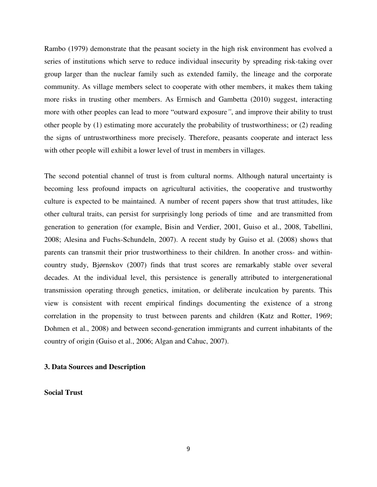Rambo (1979) demonstrate that the peasant society in the high risk environment has evolved a series of institutions which serve to reduce individual insecurity by spreading risk-taking over group larger than the nuclear family such as extended family, the lineage and the corporate community. As village members select to cooperate with other members, it makes them taking more risks in trusting other members. As Ermisch and Gambetta (2010) suggest, interacting more with other peoples can lead to more "outward exposure*"*, and improve their ability to trust other people by (1) estimating more accurately the probability of trustworthiness; or (2) reading the signs of untrustworthiness more precisely. Therefore, peasants cooperate and interact less with other people will exhibit a lower level of trust in members in villages.

The second potential channel of trust is from cultural norms. Although natural uncertainty is becoming less profound impacts on agricultural activities, the cooperative and trustworthy culture is expected to be maintained. A number of recent papers show that trust attitudes, like other cultural traits, can persist for surprisingly long periods of time and are transmitted from generation to generation (for example, Bisin and Verdier, 2001, Guiso et al., 2008, Tabellini, 2008; Alesina and Fuchs-Schundeln, 2007). A recent study by Guiso et al. (2008) shows that parents can transmit their prior trustworthiness to their children. In another cross- and withincountry study, Bjørnskov (2007) finds that trust scores are remarkably stable over several decades. At the individual level, this persistence is generally attributed to intergenerational transmission operating through genetics, imitation, or deliberate inculcation by parents. This view is consistent with recent empirical findings documenting the existence of a strong correlation in the propensity to trust between parents and children (Katz and Rotter, 1969; Dohmen et al., 2008) and between second-generation immigrants and current inhabitants of the country of origin (Guiso et al., 2006; Algan and Cahuc, 2007).

# **3. Data Sources and Description**

# **Social Trust**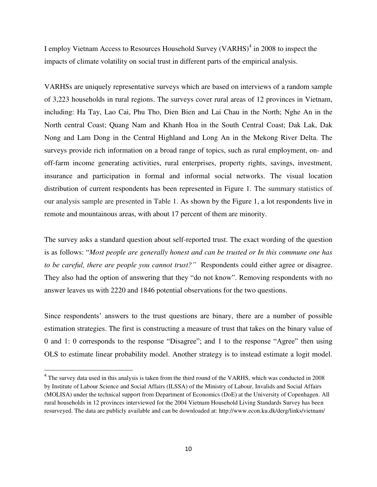I employ Vietnam Access to Resources Household Survey (VARHS)<sup>4</sup> in 2008 to inspect the impacts of climate volatility on social trust in different parts of the empirical analysis.

VARHSs are uniquely representative surveys which are based on interviews of a random sample of 3,223 households in rural regions. The surveys cover rural areas of 12 provinces in Vietnam, including: Ha Tay, Lao Cai, Phu Tho, Dien Bien and Lai Chau in the North; Nghe An in the North central Coast; Quang Nam and Khanh Hoa in the South Central Coast; Dak Lak, Dak Nong and Lam Dong in the Central Highland and Long An in the Mekong River Delta. The surveys provide rich information on a broad range of topics, such as rural employment, on- and off-farm income generating activities, rural enterprises, property rights, savings, investment, insurance and participation in formal and informal social networks. The visual location distribution of current respondents has been represented in Figure 1. The summary statistics of our analysis sample are presented in Table 1. As shown by the Figure 1, a lot respondents live in remote and mountainous areas, with about 17 percent of them are minority.

The survey asks a standard question about self-reported trust. The exact wording of the question is as follows: "*Most people are generally honest and can be trusted or In this commune one has to be careful, there are people you cannot trust?"* Respondents could either agree or disagree. They also had the option of answering that they "do not know". Removing respondents with no answer leaves us with 2220 and 1846 potential observations for the two questions.

Since respondents" answers to the trust questions are binary, there are a number of possible estimation strategies. The first is constructing a measure of trust that takes on the binary value of 0 and 1: 0 corresponds to the response "Disagree"; and 1 to the response "Agree" then using OLS to estimate linear probability model. Another strategy is to instead estimate a logit model.

 $\overline{a}$ 

<sup>&</sup>lt;sup>4</sup> The survey data used in this analysis is taken from the third round of the VARHS, which was conducted in 2008 by Institute of Labour Science and Social Affairs (ILSSA) of the Ministry of Labour, Invalids and Social Affairs (MOLISA) under the technical support from Department of Economics (DoE) at the University of Copenhagen. All rural households in 12 provinces interviewed for the 2004 Vietnam Household Living Standards Survey has been resurveyed. The data are publicly available and can be downloaded at: http://www.econ.ku.dk/derg/links/vietnam/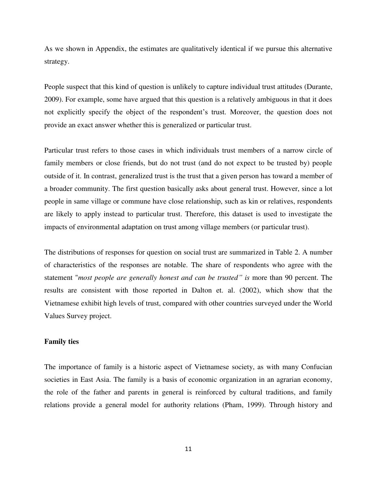As we shown in Appendix, the estimates are qualitatively identical if we pursue this alternative strategy.

People suspect that this kind of question is unlikely to capture individual trust attitudes (Durante, 2009). For example, some have argued that this question is a relatively ambiguous in that it does not explicitly specify the object of the respondent"s trust. Moreover, the question does not provide an exact answer whether this is generalized or particular trust.

Particular trust refers to those cases in which individuals trust members of a narrow circle of family members or close friends, but do not trust (and do not expect to be trusted by) people outside of it. In contrast, generalized trust is the trust that a given person has toward a member of a broader community. The first question basically asks about general trust. However, since a lot people in same village or commune have close relationship, such as kin or relatives, respondents are likely to apply instead to particular trust. Therefore, this dataset is used to investigate the impacts of environmental adaptation on trust among village members (or particular trust).

The distributions of responses for question on social trust are summarized in Table 2. A number of characteristics of the responses are notable. The share of respondents who agree with the statement "*most people are generally honest and can be trusted" is* more than 90 percent. The results are consistent with those reported in Dalton et. al. (2002), which show that the Vietnamese exhibit high levels of trust, compared with other countries surveyed under the World Values Survey project.

## **Family ties**

The importance of family is a historic aspect of Vietnamese society, as with many Confucian societies in East Asia. The family is a basis of economic organization in an agrarian economy, the role of the father and parents in general is reinforced by cultural traditions, and family relations provide a general model for authority relations (Pham, 1999). Through history and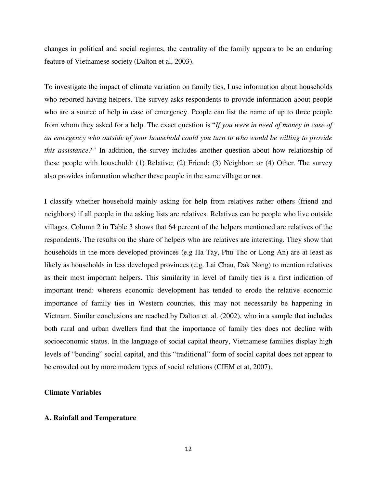changes in political and social regimes, the centrality of the family appears to be an enduring feature of Vietnamese society (Dalton et al, 2003).

To investigate the impact of climate variation on family ties, I use information about households who reported having helpers. The survey asks respondents to provide information about people who are a source of help in case of emergency. People can list the name of up to three people from whom they asked for a help. The exact question is "*If you were in need of money in case of an emergency who outside of your household could you turn to who would be willing to provide this assistance?"* In addition, the survey includes another question about how relationship of these people with household: (1) Relative; (2) Friend; (3) Neighbor; or (4) Other. The survey also provides information whether these people in the same village or not.

I classify whether household mainly asking for help from relatives rather others (friend and neighbors) if all people in the asking lists are relatives. Relatives can be people who live outside villages. Column 2 in Table 3 shows that 64 percent of the helpers mentioned are relatives of the respondents. The results on the share of helpers who are relatives are interesting. They show that households in the more developed provinces (e.g Ha Tay, Phu Tho or Long An) are at least as likely as households in less developed provinces (e.g. Lai Chau, Dak Nong) to mention relatives as their most important helpers. This similarity in level of family ties is a first indication of important trend: whereas economic development has tended to erode the relative economic importance of family ties in Western countries, this may not necessarily be happening in Vietnam. Similar conclusions are reached by Dalton et. al. (2002), who in a sample that includes both rural and urban dwellers find that the importance of family ties does not decline with socioeconomic status. In the language of social capital theory, Vietnamese families display high levels of "bonding" social capital, and this "traditional" form of social capital does not appear to be crowded out by more modern types of social relations (CIEM et at, 2007).

# **Climate Variables**

## **A. Rainfall and Temperature**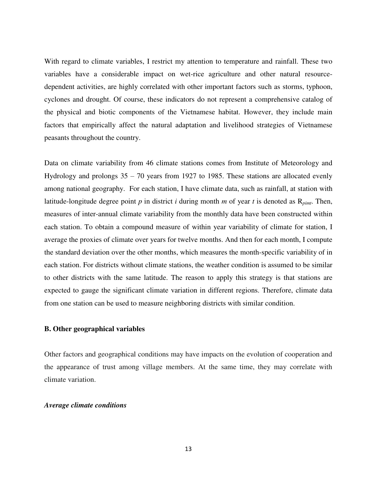With regard to climate variables, I restrict my attention to temperature and rainfall. These two variables have a considerable impact on wet-rice agriculture and other natural resourcedependent activities, are highly correlated with other important factors such as storms, typhoon, cyclones and drought. Of course, these indicators do not represent a comprehensive catalog of the physical and biotic components of the Vietnamese habitat. However, they include main factors that empirically affect the natural adaptation and livelihood strategies of Vietnamese peasants throughout the country.

Data on climate variability from 46 climate stations comes from Institute of Meteorology and Hydrology and prolongs 35 – 70 years from 1927 to 1985. These stations are allocated evenly among national geography. For each station, I have climate data, such as rainfall, at station with latitude-longitude degree point  $p$  in district  $i$  during month  $m$  of year  $t$  is denoted as  $R_{\text{pint}}$ . Then, measures of inter-annual climate variability from the monthly data have been constructed within each station. To obtain a compound measure of within year variability of climate for station, I average the proxies of climate over years for twelve months. And then for each month, I compute the standard deviation over the other months, which measures the month-specific variability of in each station. For districts without climate stations, the weather condition is assumed to be similar to other districts with the same latitude. The reason to apply this strategy is that stations are expected to gauge the significant climate variation in different regions. Therefore, climate data from one station can be used to measure neighboring districts with similar condition.

# **B. Other geographical variables**

Other factors and geographical conditions may have impacts on the evolution of cooperation and the appearance of trust among village members. At the same time, they may correlate with climate variation.

# *Average climate conditions*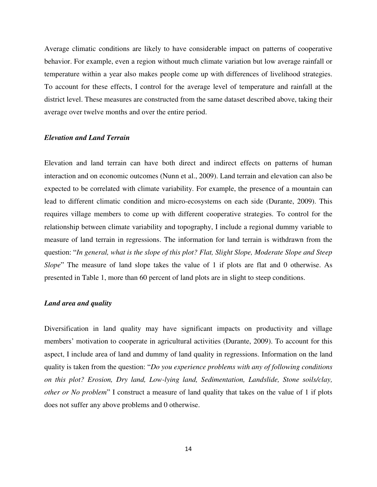Average climatic conditions are likely to have considerable impact on patterns of cooperative behavior. For example, even a region without much climate variation but low average rainfall or temperature within a year also makes people come up with differences of livelihood strategies. To account for these effects, I control for the average level of temperature and rainfall at the district level. These measures are constructed from the same dataset described above, taking their average over twelve months and over the entire period.

# *Elevation and Land Terrain*

Elevation and land terrain can have both direct and indirect effects on patterns of human interaction and on economic outcomes (Nunn et al., 2009). Land terrain and elevation can also be expected to be correlated with climate variability. For example, the presence of a mountain can lead to different climatic condition and micro-ecosystems on each side (Durante, 2009). This requires village members to come up with different cooperative strategies. To control for the relationship between climate variability and topography, I include a regional dummy variable to measure of land terrain in regressions. The information for land terrain is withdrawn from the question: "*In general, what is the slope of this plot? Flat, Slight Slope, Moderate Slope and Steep Slope*" The measure of land slope takes the value of 1 if plots are flat and 0 otherwise. As presented in Table 1, more than 60 percent of land plots are in slight to steep conditions.

#### *Land area and quality*

Diversification in land quality may have significant impacts on productivity and village members' motivation to cooperate in agricultural activities (Durante, 2009). To account for this aspect, I include area of land and dummy of land quality in regressions. Information on the land quality is taken from the question: "*Do you experience problems with any of following conditions on this plot? Erosion, Dry land, Low-lying land, Sedimentation, Landslide, Stone soils/clay, other or No problem*" I construct a measure of land quality that takes on the value of 1 if plots does not suffer any above problems and 0 otherwise.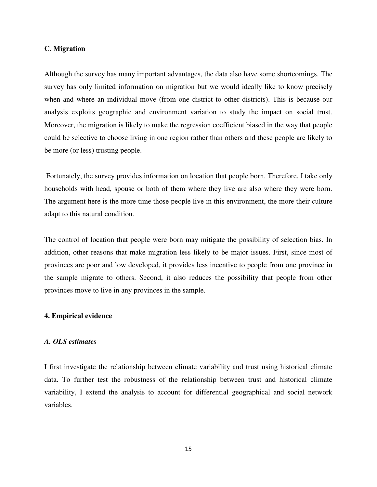# **C. Migration**

Although the survey has many important advantages, the data also have some shortcomings. The survey has only limited information on migration but we would ideally like to know precisely when and where an individual move (from one district to other districts). This is because our analysis exploits geographic and environment variation to study the impact on social trust. Moreover, the migration is likely to make the regression coefficient biased in the way that people could be selective to choose living in one region rather than others and these people are likely to be more (or less) trusting people.

 Fortunately, the survey provides information on location that people born. Therefore, I take only households with head, spouse or both of them where they live are also where they were born. The argument here is the more time those people live in this environment, the more their culture adapt to this natural condition.

The control of location that people were born may mitigate the possibility of selection bias. In addition, other reasons that make migration less likely to be major issues. First, since most of provinces are poor and low developed, it provides less incentive to people from one province in the sample migrate to others. Second, it also reduces the possibility that people from other provinces move to live in any provinces in the sample.

# **4. Empirical evidence**

# *A. OLS estimates*

I first investigate the relationship between climate variability and trust using historical climate data. To further test the robustness of the relationship between trust and historical climate variability, I extend the analysis to account for differential geographical and social network variables.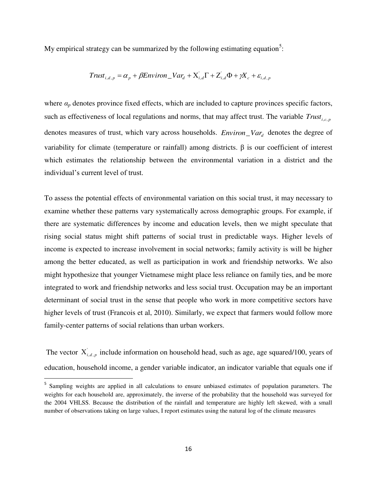My empirical strategy can be summarized by the following estimating equation<sup>5</sup>:

$$
Trust_{i,d,p} = \alpha_p + \beta Environment_{i,d} + X'_{i,d} + X'_{i,d} + Z'_{i,d} + \mathcal{X}'_{c} + \varepsilon_{i,d,p}
$$

where  $a_p$  denotes province fixed effects, which are included to capture provinces specific factors, such as effectiveness of local regulations and norms, that may affect trust. The variable  $Trust_{i,c,p}$ denotes measures of trust, which vary across households. *Environ*\_*Var<sup>d</sup>* denotes the degree of variability for climate (temperature or rainfall) among districts. β is our coefficient of interest which estimates the relationship between the environmental variation in a district and the individual"s current level of trust.

To assess the potential effects of environmental variation on this social trust, it may necessary to examine whether these patterns vary systematically across demographic groups. For example, if there are systematic differences by income and education levels, then we might speculate that rising social status might shift patterns of social trust in predictable ways. Higher levels of income is expected to increase involvement in social networks; family activity is will be higher among the better educated, as well as participation in work and friendship networks. We also might hypothesize that younger Vietnamese might place less reliance on family ties, and be more integrated to work and friendship networks and less social trust. Occupation may be an important determinant of social trust in the sense that people who work in more competitive sectors have higher levels of trust (Francois et al, 2010). Similarly, we expect that farmers would follow more family-center patterns of social relations than urban workers.

The vector  $X_{i,d,p}$  include information on household head, such as age, age squared/100, years of education, household income, a gender variable indicator, an indicator variable that equals one if

 $\overline{a}$ 

<sup>&</sup>lt;sup>5</sup> Sampling weights are applied in all calculations to ensure unbiased estimates of population parameters. The weights for each household are, approximately, the inverse of the probability that the household was surveyed for the 2004 VHLSS. Because the distribution of the rainfall and temperature are highly left skewed, with a small number of observations taking on large values, I report estimates using the natural log of the climate measures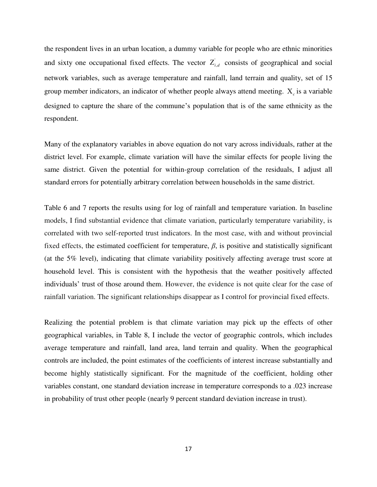the respondent lives in an urban location, a dummy variable for people who are ethnic minorities and sixty one occupational fixed effects. The vector  $Z_{i,d}$  consists of geographical and social network variables, such as average temperature and rainfall, land terrain and quality, set of 15 group member indicators, an indicator of whether people always attend meeting.  $X_c$  is a variable designed to capture the share of the commune"s population that is of the same ethnicity as the respondent.

Many of the explanatory variables in above equation do not vary across individuals, rather at the district level. For example, climate variation will have the similar effects for people living the same district. Given the potential for within-group correlation of the residuals, I adjust all standard errors for potentially arbitrary correlation between households in the same district.

Table 6 and 7 reports the results using for log of rainfall and temperature variation. In baseline models, I find substantial evidence that climate variation, particularly temperature variability, is correlated with two self-reported trust indicators. In the most case, with and without provincial fixed effects, the estimated coefficient for temperature,  $\beta$ , is positive and statistically significant (at the 5% level), indicating that climate variability positively affecting average trust score at household level. This is consistent with the hypothesis that the weather positively affected individuals" trust of those around them. However, the evidence is not quite clear for the case of rainfall variation. The significant relationships disappear as I control for provincial fixed effects.

Realizing the potential problem is that climate variation may pick up the effects of other geographical variables, in Table 8, I include the vector of geographic controls, which includes average temperature and rainfall, land area, land terrain and quality. When the geographical controls are included, the point estimates of the coefficients of interest increase substantially and become highly statistically significant. For the magnitude of the coefficient, holding other variables constant, one standard deviation increase in temperature corresponds to a .023 increase in probability of trust other people (nearly 9 percent standard deviation increase in trust).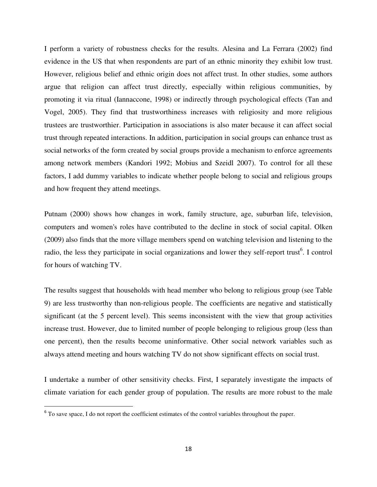I perform a variety of robustness checks for the results. Alesina and La Ferrara (2002) find evidence in the US that when respondents are part of an ethnic minority they exhibit low trust. However, religious belief and ethnic origin does not affect trust. In other studies, some authors argue that religion can affect trust directly, especially within religious communities, by promoting it via ritual (Iannaccone, 1998) or indirectly through psychological effects (Tan and Vogel, 2005). They find that trustworthiness increases with religiosity and more religious trustees are trustworthier. Participation in associations is also mater because it can affect social trust through repeated interactions. In addition, participation in social groups can enhance trust as social networks of the form created by social groups provide a mechanism to enforce agreements among network members (Kandori 1992; Mobius and Szeidl 2007). To control for all these factors, I add dummy variables to indicate whether people belong to social and religious groups and how frequent they attend meetings.

Putnam (2000) shows how changes in work, family structure, age, suburban life, television, computers and women's roles have contributed to the decline in stock of social capital. Olken (2009) also finds that the more village members spend on watching television and listening to the radio, the less they participate in social organizations and lower they self-report trust<sup>6</sup>. I control for hours of watching TV.

The results suggest that households with head member who belong to religious group (see Table 9) are less trustworthy than non-religious people. The coefficients are negative and statistically significant (at the 5 percent level). This seems inconsistent with the view that group activities increase trust. However, due to limited number of people belonging to religious group (less than one percent), then the results become uninformative. Other social network variables such as always attend meeting and hours watching TV do not show significant effects on social trust.

I undertake a number of other sensitivity checks. First, I separately investigate the impacts of climate variation for each gender group of population. The results are more robust to the male

l

<sup>&</sup>lt;sup>6</sup> To save space, I do not report the coefficient estimates of the control variables throughout the paper.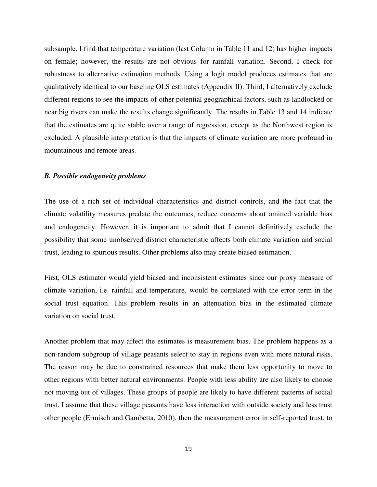subsample. I find that temperature variation (last Column in Table 11 and 12) has higher impacts on female; however, the results are not obvious for rainfall variation. Second, I check for robustness to alternative estimation methods. Using a logit model produces estimates that are qualitatively identical to our baseline OLS estimates (Appendix II). Third, I alternatively exclude different regions to see the impacts of other potential geographical factors, such as landlocked or near big rivers can make the results change significantly. The results in Table 13 and 14 indicate that the estimates are quite stable over a range of regression, except as the Northwest region is excluded. A plausible interpretation is that the impacts of climate variation are more profound in mountainous and remote areas.

#### *B. Possible endogeneity problems*

The use of a rich set of individual characteristics and district controls, and the fact that the climate volatility measures predate the outcomes, reduce concerns about omitted variable bias and endogeneity. However, it is important to admit that I cannot definitively exclude the possibility that some unobserved district characteristic affects both climate variation and social trust, leading to spurious results. Other problems also may create biased estimation.

First, OLS estimator would yield biased and inconsistent estimates since our proxy measure of climate variation, i.e. rainfall and temperature, would be correlated with the error term in the social trust equation. This problem results in an attenuation bias in the estimated climate variation on social trust.

Another problem that may affect the estimates is measurement bias. The problem happens as a non-random subgroup of village peasants select to stay in regions even with more natural risks. The reason may be due to constrained resources that make them less opportunity to move to other regions with better natural environments. People with less ability are also likely to choose not moving out of villages. These groups of people are likely to have different patterns of social trust. I assume that these village peasants have less interaction with outside society and less trust other people (Ermisch and Gambetta, 2010), then the measurement error in self-reported trust, to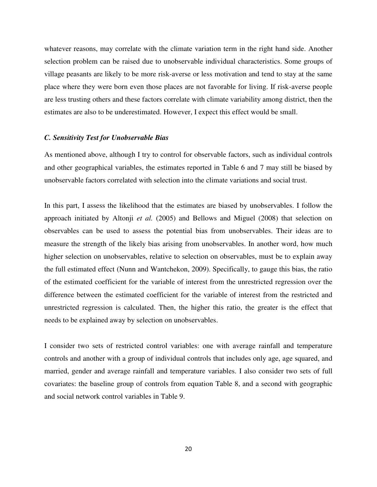whatever reasons, may correlate with the climate variation term in the right hand side. Another selection problem can be raised due to unobservable individual characteristics. Some groups of village peasants are likely to be more risk-averse or less motivation and tend to stay at the same place where they were born even those places are not favorable for living. If risk-averse people are less trusting others and these factors correlate with climate variability among district, then the estimates are also to be underestimated. However, I expect this effect would be small.

#### *C. Sensitivity Test for Unobservable Bias*

As mentioned above, although I try to control for observable factors, such as individual controls and other geographical variables, the estimates reported in Table 6 and 7 may still be biased by unobservable factors correlated with selection into the climate variations and social trust.

In this part, I assess the likelihood that the estimates are biased by unobservables. I follow the approach initiated by Altonji *et al.* (2005) and Bellows and Miguel (2008) that selection on observables can be used to assess the potential bias from unobservables. Their ideas are to measure the strength of the likely bias arising from unobservables. In another word, how much higher selection on unobservables, relative to selection on observables, must be to explain away the full estimated effect (Nunn and Wantchekon, 2009). Specifically, to gauge this bias, the ratio of the estimated coefficient for the variable of interest from the unrestricted regression over the difference between the estimated coefficient for the variable of interest from the restricted and unrestricted regression is calculated. Then, the higher this ratio, the greater is the effect that needs to be explained away by selection on unobservables.

I consider two sets of restricted control variables: one with average rainfall and temperature controls and another with a group of individual controls that includes only age, age squared, and married, gender and average rainfall and temperature variables. I also consider two sets of full covariates: the baseline group of controls from equation Table 8, and a second with geographic and social network control variables in Table 9.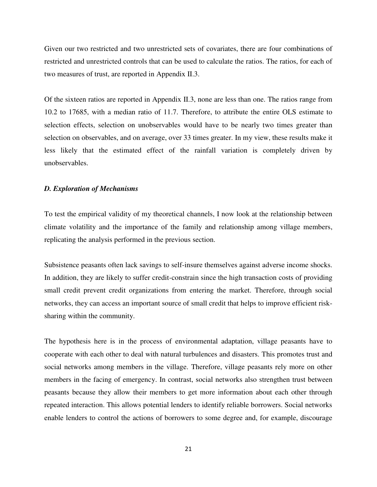Given our two restricted and two unrestricted sets of covariates, there are four combinations of restricted and unrestricted controls that can be used to calculate the ratios. The ratios, for each of two measures of trust, are reported in Appendix II.3.

Of the sixteen ratios are reported in Appendix II.3, none are less than one. The ratios range from 10.2 to 17685, with a median ratio of 11.7. Therefore, to attribute the entire OLS estimate to selection effects, selection on unobservables would have to be nearly two times greater than selection on observables, and on average, over 33 times greater. In my view, these results make it less likely that the estimated effect of the rainfall variation is completely driven by unobservables.

#### *D. Exploration of Mechanisms*

To test the empirical validity of my theoretical channels, I now look at the relationship between climate volatility and the importance of the family and relationship among village members, replicating the analysis performed in the previous section.

Subsistence peasants often lack savings to self-insure themselves against adverse income shocks. In addition, they are likely to suffer credit-constrain since the high transaction costs of providing small credit prevent credit organizations from entering the market. Therefore, through social networks, they can access an important source of small credit that helps to improve efficient risksharing within the community.

The hypothesis here is in the process of environmental adaptation, village peasants have to cooperate with each other to deal with natural turbulences and disasters. This promotes trust and social networks among members in the village. Therefore, village peasants rely more on other members in the facing of emergency. In contrast, social networks also strengthen trust between peasants because they allow their members to get more information about each other through repeated interaction. This allows potential lenders to identify reliable borrowers. Social networks enable lenders to control the actions of borrowers to some degree and, for example, discourage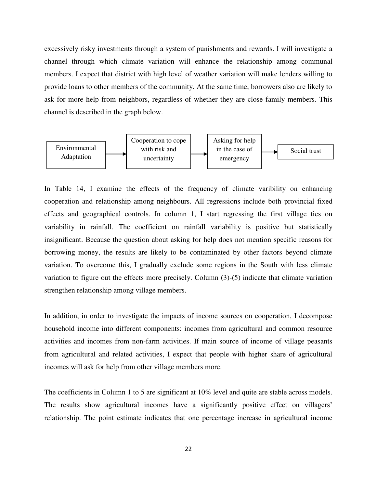excessively risky investments through a system of punishments and rewards. I will investigate a channel through which climate variation will enhance the relationship among communal members. I expect that district with high level of weather variation will make lenders willing to provide loans to other members of the community. At the same time, borrowers also are likely to ask for more help from neighbors, regardless of whether they are close family members. This channel is described in the graph below.



In Table 14, I examine the effects of the frequency of climate varibility on enhancing cooperation and relationship among neighbours. All regressions include both provincial fixed effects and geographical controls. In column 1, I start regressing the first village ties on variability in rainfall. The coefficient on rainfall variability is positive but statistically insignificant. Because the question about asking for help does not mention specific reasons for borrowing money, the results are likely to be contaminated by other factors beyond climate variation. To overcome this, I gradually exclude some regions in the South with less climate variation to figure out the effects more precisely. Column (3)-(5) indicate that climate variation strengthen relationship among village members.

In addition, in order to investigate the impacts of income sources on cooperation, I decompose household income into different components: incomes from agricultural and common resource activities and incomes from non-farm activities. If main source of income of village peasants from agricultural and related activities, I expect that people with higher share of agricultural incomes will ask for help from other village members more.

The coefficients in Column 1 to 5 are significant at 10% level and quite are stable across models. The results show agricultural incomes have a significantly positive effect on villagers' relationship. The point estimate indicates that one percentage increase in agricultural income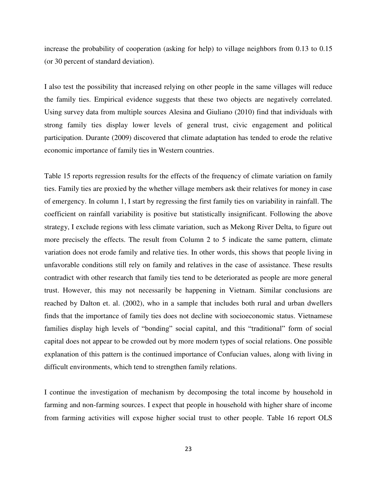increase the probability of cooperation (asking for help) to village neighbors from 0.13 to 0.15 (or 30 percent of standard deviation).

I also test the possibility that increased relying on other people in the same villages will reduce the family ties. Empirical evidence suggests that these two objects are negatively correlated. Using survey data from multiple sources Alesina and Giuliano (2010) find that individuals with strong family ties display lower levels of general trust, civic engagement and political participation. Durante (2009) discovered that climate adaptation has tended to erode the relative economic importance of family ties in Western countries.

Table 15 reports regression results for the effects of the frequency of climate variation on family ties. Family ties are proxied by the whether village members ask their relatives for money in case of emergency. In column 1, I start by regressing the first family ties on variability in rainfall. The coefficient on rainfall variability is positive but statistically insignificant. Following the above strategy, I exclude regions with less climate variation, such as Mekong River Delta, to figure out more precisely the effects. The result from Column 2 to 5 indicate the same pattern, climate variation does not erode family and relative ties. In other words, this shows that people living in unfavorable conditions still rely on family and relatives in the case of assistance. These results contradict with other research that family ties tend to be deteriorated as people are more general trust. However, this may not necessarily be happening in Vietnam. Similar conclusions are reached by Dalton et. al. (2002), who in a sample that includes both rural and urban dwellers finds that the importance of family ties does not decline with socioeconomic status. Vietnamese families display high levels of "bonding" social capital, and this "traditional" form of social capital does not appear to be crowded out by more modern types of social relations. One possible explanation of this pattern is the continued importance of Confucian values, along with living in difficult environments, which tend to strengthen family relations.

I continue the investigation of mechanism by decomposing the total income by household in farming and non-farming sources. I expect that people in household with higher share of income from farming activities will expose higher social trust to other people. Table 16 report OLS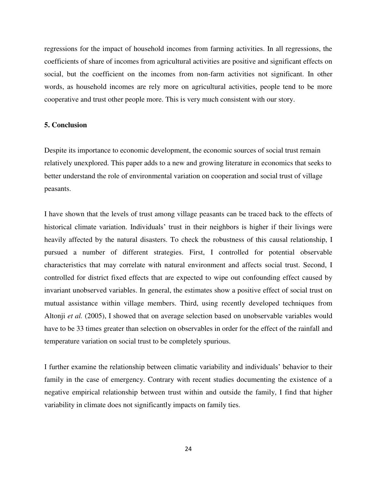regressions for the impact of household incomes from farming activities. In all regressions, the coefficients of share of incomes from agricultural activities are positive and significant effects on social, but the coefficient on the incomes from non-farm activities not significant. In other words, as household incomes are rely more on agricultural activities, people tend to be more cooperative and trust other people more. This is very much consistent with our story.

# **5. Conclusion**

Despite its importance to economic development, the economic sources of social trust remain relatively unexplored. This paper adds to a new and growing literature in economics that seeks to better understand the role of environmental variation on cooperation and social trust of village peasants.

I have shown that the levels of trust among village peasants can be traced back to the effects of historical climate variation. Individuals" trust in their neighbors is higher if their livings were heavily affected by the natural disasters. To check the robustness of this causal relationship, I pursued a number of different strategies. First, I controlled for potential observable characteristics that may correlate with natural environment and affects social trust. Second, I controlled for district fixed effects that are expected to wipe out confounding effect caused by invariant unobserved variables. In general, the estimates show a positive effect of social trust on mutual assistance within village members. Third, using recently developed techniques from Altonji *et al.* (2005), I showed that on average selection based on unobservable variables would have to be 33 times greater than selection on observables in order for the effect of the rainfall and temperature variation on social trust to be completely spurious.

I further examine the relationship between climatic variability and individuals" behavior to their family in the case of emergency. Contrary with recent studies documenting the existence of a negative empirical relationship between trust within and outside the family, I find that higher variability in climate does not significantly impacts on family ties.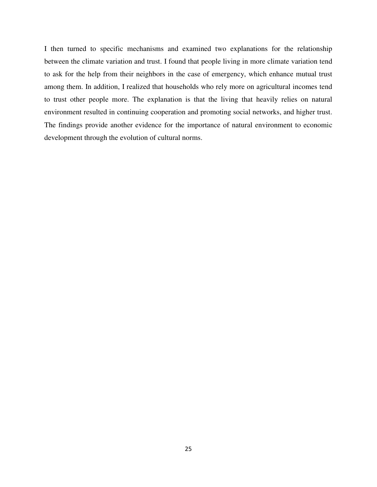I then turned to specific mechanisms and examined two explanations for the relationship between the climate variation and trust. I found that people living in more climate variation tend to ask for the help from their neighbors in the case of emergency, which enhance mutual trust among them. In addition, I realized that households who rely more on agricultural incomes tend to trust other people more. The explanation is that the living that heavily relies on natural environment resulted in continuing cooperation and promoting social networks, and higher trust. The findings provide another evidence for the importance of natural environment to economic development through the evolution of cultural norms.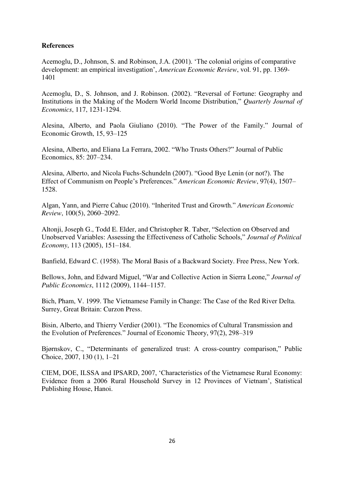# **References**

Acemoglu, D., Johnson, S. and Robinson, J.A. (2001). "The colonial origins of comparative development: an empirical investigation", *American Economic Review*, vol. 91, pp. 1369- 1401

Acemoglu, D., S. Johnson, and J. Robinson. (2002). "Reversal of Fortune: Geography and Institutions in the Making of the Modern World Income Distribution," *Quarterly Journal of Economics*, 117, 1231-1294.

Alesina, Alberto, and Paola Giuliano (2010). "The Power of the Family." Journal of Economic Growth, 15, 93–125

Alesina, Alberto, and Eliana La Ferrara, 2002. "Who Trusts Others?" Journal of Public Economics, 85: 207–234.

Alesina, Alberto, and Nicola Fuchs-Schundeln (2007). "Good Bye Lenin (or not?). The Effect of Communism on People"s Preferences." *American Economic Review*, 97(4), 1507– 1528.

Algan, Yann, and Pierre Cahuc (2010). "Inherited Trust and Growth." *American Economic Review*, 100(5), 2060–2092.

Altonji, Joseph G., Todd E. Elder, and Christopher R. Taber, "Selection on Observed and Unobserved Variables: Assessing the Effectiveness of Catholic Schools," *Journal of Political Economy*, 113 (2005), 151–184.

Banfield, Edward C. (1958). The Moral Basis of a Backward Society. Free Press, New York.

Bellows, John, and Edward Miguel, "War and Collective Action in Sierra Leone," *Journal of Public Economics*, 1112 (2009), 1144–1157.

Bich, Pham, V. 1999. The Vietnamese Family in Change: The Case of the Red River Delta. Surrey, Great Britain: Curzon Press.

Bisin, Alberto, and Thierry Verdier (2001). "The Economics of Cultural Transmission and the Evolution of Preferences." Journal of Economic Theory, 97(2), 298–319

Bjørnskov, C., "Determinants of generalized trust: A cross-country comparison," Public Choice, 2007, 130 (1), 1–21

CIEM, DOE, ILSSA and IPSARD, 2007, "Characteristics of the Vietnamese Rural Economy: Evidence from a 2006 Rural Household Survey in 12 Provinces of Vietnam", Statistical Publishing House, Hanoi.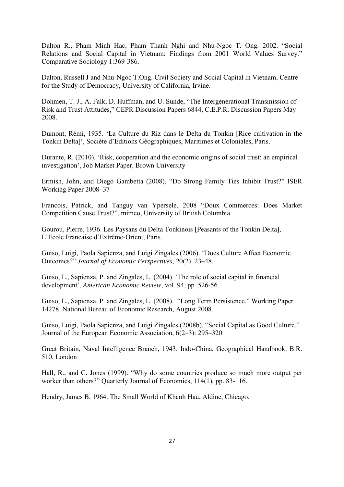Dalton R., Pham Minh Hac, Pham Thanh Nghi and Nhu-Ngoc T. Ong. 2002. "Social Relations and Social Capital in Vietnam: Findings from 2001 World Values Survey." Comparative Sociology 1:369-386.

Dalton, Russell J and Nhu-Ngoc T.Ong. Civil Society and Social Capital in Vietnam, Centre for the Study of Democracy, University of California, Irvine.

Dohmen, T. J., A. Falk, D. Huffman, and U. Sunde, "The Intergenerational Transmission of Risk and Trust Attitudes," CEPR Discussion Papers 6844, C.E.P.R. Discussion Papers May 2008.

Dumont, Rémi, 1935. "La Culture du Riz dans le Delta du Tonkin [Rice cultivation in the Tonkin Delta]", Sociéte d"Editions Géographiques, Maritimes et Coloniales, Paris.

Durante, R. (2010). "Risk, cooperation and the economic origins of social trust: an empirical investigation", Job Market Paper, Brown University

Ermish, John, and Diego Gambetta (2008). "Do Strong Family Ties Inhibit Trust?" ISER Working Paper 2008–37

Francois, Patrick, and Tanguy van Ypersele, 2008 "Doux Commerces: Does Market Competition Cause Trust?", mimeo, University of British Columbia.

Gourou, Pierre, 1936. Les Paysans du Delta Tonkinois [Peasants of the Tonkin Delta], L"Ecole Francaise d"Extrême-Orient, Paris.

Guiso, Luigi, Paola Sapienza, and Luigi Zingales (2006). "Does Culture Affect Economic Outcomes?" *Journal of Economic Perspectives*, 20(2), 23–48.

Guiso, L., Sapienza, P. and Zingales, L. (2004). "The role of social capital in financial development", *American Economic Review*, vol. 94, pp. 526-56.

Guiso, L., Sapienza, P. and Zingales, L. (2008). "Long Term Persistence," Working Paper 14278, National Bureau of Economic Research, August 2008.

Guiso, Luigi, Paola Sapienza, and Luigi Zingales (2008b). "Social Capital as Good Culture." Journal of the European Economic Association, 6(2–3): 295–320

Great Britain, Naval Intelligence Branch, 1943. Indo-China, Geographical Handbook, B.R. 510, London

Hall, R., and C. Jones (1999). "Why do some countries produce so much more output per worker than others?" Quarterly Journal of Economics, 114(1), pp. 83-116.

Hendry, James B, 1964. The Small World of Khanh Hau, Aldine, Chicago.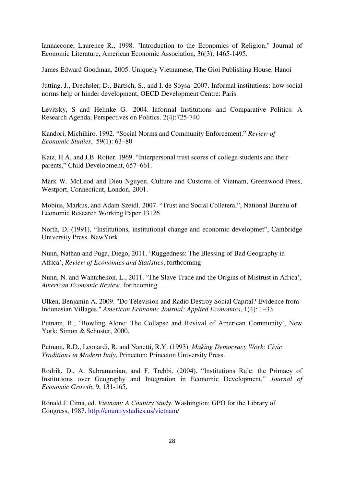Iannaccone, Laurence R., 1998. ["Introduction to the Economics of Religion,](http://ideas.repec.org/a/aea/jeclit/v36y1998i3p1465-1495.html)" [Journal of](http://ideas.repec.org/s/aea/jeclit.html)  [Economic Literature,](http://ideas.repec.org/s/aea/jeclit.html) American Economic Association, 36(3), 1465-1495.

James Edward Goodman, 2005. Uniquely Vietnamese, The Gioi Publishing House, Hanoi

Jutting, J., Drechsler, D., Bartsch, S., and I. de Soysa. 2007. Informal institutions: how social norms help or hinder development, OECD Development Centre: Paris.

Levitsky, S and Helmke G. 2004. [Informal Institutions and Comparative Politics: A](http://scholar.harvard.edu/levitsky/publications/informal-institutions-and-comparative-politics-research-agenda)  [Research Agenda,](http://scholar.harvard.edu/levitsky/publications/informal-institutions-and-comparative-politics-research-agenda) Perspectives on Politics. 2(4):725-740

Kandori, Michihiro. 1992. "Social Norms and Community Enforcement." *Review of Economic Studies*, 59(1): 63–80

Katz, H.A. and J.B. Rotter, 1969. "Interpersonal trust scores of college students and their parents," Child Development, 657–661.

Mark W. McLeod and Dieu Nguyen, Culture and Customs of Vietnam, Greenwood Press, Westport, Connecticut, London, 2001.

Mobius, Markus, and Adam Szeidl. 2007. "Trust and Social Collateral", National Bureau of Economic Research Working Paper 13126

North, D. (1991). "Institutions, institutional change and economic developmet", Cambridge University Press. NewYork

Nunn, Nathan and Puga, Diego, 2011. "Ruggedness: The Blessing of Bad Geography in Africa", *Review of Economics and Statistics*, forthcoming

Nunn, N. and Wantchekon, L., 2011. "The Slave Trade and the Origins of Mistrust in Africa", *American Economic Review*, forthcoming.

Olken, Benjamin A. 2009. "Do Television and Radio Destroy Social Capital? Evidence from Indonesian Villages." *American Economic Journal: Applied Economics*, 1(4): 1–33.

Putnam, R., 'Bowling Alone: The Collapse and Revival of American Community', New York: Simon & Schuster, 2000.

Putnam, R.D., Leonardi, R. and Nanetti, R.Y. (1993). *Making Democracy Work: Civic Traditions in Modern Italy*, Princeton: Princeton University Press.

Rodrik, D., A. Subramanian, and F. Trebbi. (2004). "Institutions Rule: the Primacy of Institutions over Geography and Integration in Economic Development," *Journal of Economic Growth*, 9, 131-165.

Ronald J. Cima, ed. *Vietnam: A Country Study*. Washington: GPO for the Library of Congress, 1987.<http://countrystudies.us/vietnam/>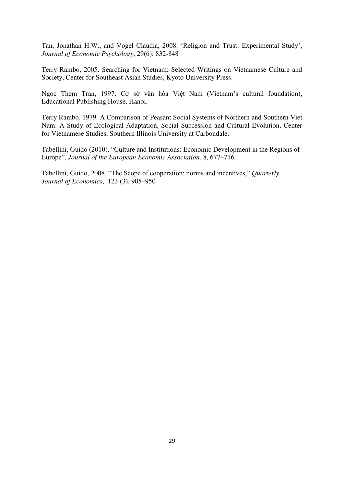Tan, Jonathan H.W., and Vogel Claudia, 2008. "Religion and Trust: Experimental Study", *Journal of Economic Psychology*, 29(6): 832-848

Terry Rambo, 2005. Searching for Vietnam: Selected Writings on Vietnamese Culture and Society, Center for Southeast Asian Studies, Kyoto University Press.

Ngoc Them Tran, 1997. Cơ sở văn hóa Việt Nam (Vietnam"s cultural foundation), Educational Publishing House, Hanoi.

Terry Rambo, 1979. A Comparison of Peasant Social Systems of Northern and Southern Viet Nam: A Study of Ecological Adaptation, Social Succession and Cultural Evolution, Center for Vietnamese Studies, Southern Illinois University at Carbondale.

Tabellini, Guido (2010). "Culture and Institutions: Economic Development in the Regions of Europe", *Journal of the European Economic Association*, 8, 677–716.

Tabellini, Guido, 2008. "The Scope of cooperation: norms and incentives," *Quarterly Journal of Economics*, 123 (3), 905–950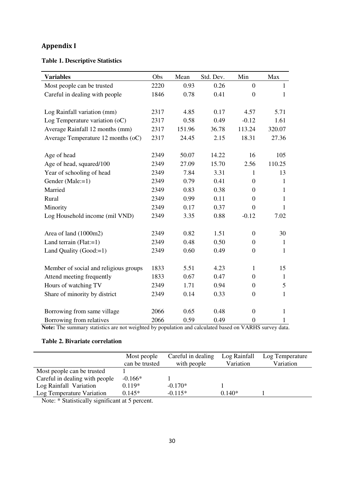# **Appendix I**

# **Table 1. Descriptive Statistics**

| <b>Variables</b>                      | Obs  | Mean   | Std. Dev. | Min              | Max          |
|---------------------------------------|------|--------|-----------|------------------|--------------|
| Most people can be trusted            | 2220 | 0.93   | 0.26      | $\overline{0}$   | 1            |
| Careful in dealing with people        | 1846 | 0.78   | 0.41      | $\boldsymbol{0}$ | 1            |
|                                       |      |        |           |                  |              |
| Log Rainfall variation (mm)           | 2317 | 4.85   | 0.17      | 4.57             | 5.71         |
| Log Temperature variation (oC)        | 2317 | 0.58   | 0.49      | $-0.12$          | 1.61         |
| Average Rainfall 12 months (mm)       | 2317 | 151.96 | 36.78     | 113.24           | 320.07       |
| Average Temperature 12 months (oC)    | 2317 | 24.45  | 2.15      | 18.31            | 27.36        |
|                                       |      |        |           |                  |              |
| Age of head                           | 2349 | 50.07  | 14.22     | 16               | 105          |
| Age of head, squared/100              | 2349 | 27.09  | 15.70     | 2.56             | 110.25       |
| Year of schooling of head             | 2349 | 7.84   | 3.31      | 1                | 13           |
| Gender (Male:=1)                      | 2349 | 0.79   | 0.41      | $\theta$         | 1            |
| Married                               | 2349 | 0.83   | 0.38      | $\boldsymbol{0}$ | 1            |
| Rural                                 | 2349 | 0.99   | 0.11      | $\boldsymbol{0}$ | 1            |
| Minority                              | 2349 | 0.17   | 0.37      | $\boldsymbol{0}$ | 1            |
| Log Household income (mil VND)        | 2349 | 3.35   | 0.88      | $-0.12$          | 7.02         |
|                                       |      |        |           |                  |              |
| Area of land (1000m2)                 | 2349 | 0.82   | 1.51      | $\boldsymbol{0}$ | 30           |
| Land terrain $(Flat:=1)$              | 2349 | 0.48   | 0.50      | $\boldsymbol{0}$ | 1            |
| Land Quality (Good:=1)                | 2349 | 0.60   | 0.49      | $\boldsymbol{0}$ | 1            |
|                                       |      |        |           |                  |              |
| Member of social and religious groups | 1833 | 5.51   | 4.23      | $\mathbf{1}$     | 15           |
| Attend meeting frequently             | 1833 | 0.67   | 0.47      | $\theta$         | $\mathbf{1}$ |
| Hours of watching TV                  | 2349 | 1.71   | 0.94      | $\boldsymbol{0}$ | 5            |
| Share of minority by district         | 2349 | 0.14   | 0.33      | $\boldsymbol{0}$ | $\mathbf{1}$ |
|                                       |      |        |           |                  |              |
| Borrowing from same village           | 2066 | 0.65   | 0.48      | $\boldsymbol{0}$ | $\mathbf{1}$ |
| Borrowing from relatives              | 2066 | 0.59   | 0.49      | $\boldsymbol{0}$ | 1            |

**Note:** The summary statistics are not weighted by population and calculated based on VARHS survey data.

# **Table 2. Bivariate correlation**

|                                | Most people    | Careful in dealing | Log Rainfall | Log Temperature |
|--------------------------------|----------------|--------------------|--------------|-----------------|
|                                | can be trusted | with people        | Variation    | Variation       |
| Most people can be trusted     |                |                    |              |                 |
| Careful in dealing with people | $-0.166*$      |                    |              |                 |
| Log Rainfall Variation         | $0.119*$       | $-0.170*$          |              |                 |
| Log Temperature Variation      | $0.145*$       | $-0.115*$          | $0.140*$     |                 |
|                                |                |                    |              |                 |

Note: \* Statistically significant at 5 percent.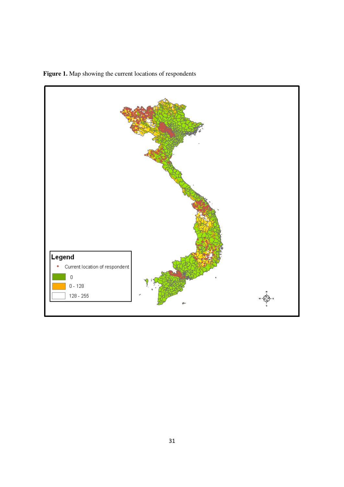

 **Figure 1.** Map showing the current locations of respondents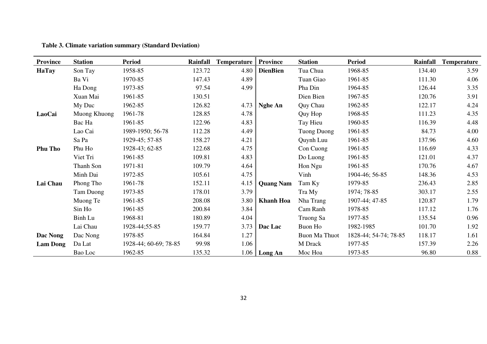| <b>Province</b> | <b>Station</b> | <b>Period</b>         | Rainfall | <b>Temperature</b> | <b>Province</b>  | <b>Station</b> | <b>Period</b>         | Rainfall | <b>Temperature</b> |
|-----------------|----------------|-----------------------|----------|--------------------|------------------|----------------|-----------------------|----------|--------------------|
| <b>HaTay</b>    | Son Tay        | 1958-85               | 123.72   | 4.80               | <b>DienBien</b>  | Tua Chua       | 1968-85               | 134.40   | 3.59               |
|                 | Ba Vi          | 1970-85               | 147.43   | 4.89               |                  | Tuan Giao      | 1961-85               | 111.30   | 4.06               |
|                 | Ha Dong        | 1973-85               | 97.54    | 4.99               |                  | Pha Din        | 1964-85               | 126.44   | 3.35               |
|                 | Xuan Mai       | 1961-85               | 130.51   |                    |                  | Dien Bien      | 1967-85               | 120.76   | 3.91               |
|                 | My Duc         | 1962-85               | 126.82   | 4.73               | <b>Nghe An</b>   | Quy Chau       | 1962-85               | 122.17   | 4.24               |
| LaoCai          | Muong Khuong   | 1961-78               | 128.85   | 4.78               |                  | Quy Hop        | 1968-85               | 111.23   | 4.35               |
|                 | Bac Ha         | 1961-85               | 122.96   | 4.83               |                  | Tay Hieu       | 1960-85               | 116.39   | 4.48               |
|                 | Lao Cai        | 1989-1950; 56-78      | 112.28   | 4.49               |                  | Tuong Duong    | 1961-85               | 84.73    | 4.00               |
|                 | Sa Pa          | 1929-45; 57-85        | 158.27   | 4.21               |                  | Quynh Luu      | 1961-85               | 137.96   | 4.60               |
| <b>Phu Tho</b>  | Phu Ho         | 1928-43; 62-85        | 122.68   | 4.75               |                  | Con Cuong      | 1961-85               | 116.69   | 4.33               |
|                 | Viet Tri       | 1961-85               | 109.81   | 4.83               |                  | Do Luong       | 1961-85               | 121.01   | 4.37               |
|                 | Thanh Son      | 1971-81               | 109.79   | 4.64               |                  | Hon Ngu        | 1961-85               | 170.76   | 4.67               |
|                 | Minh Dai       | 1972-85               | 105.61   | 4.75               |                  | Vinh           | 1904-46; 56-85        | 148.36   | 4.53               |
| Lai Chau        | Phong Tho      | 1961-78               | 152.11   | 4.15               | <b>Quang Nam</b> | Tam Ky         | 1979-85               | 236.43   | 2.85               |
|                 | Tam Duong      | 1973-85               | 178.01   | 3.79               |                  | Tra My         | 1974; 78-85           | 303.17   | 2.55               |
|                 | Muong Te       | 1961-85               | 208.08   | 3.80               | <b>Khanh Hoa</b> | Nha Trang      | 1907-44; 47-85        | 120.87   | 1.79               |
|                 | Sin Ho         | 1961-85               | 200.84   | 3.84               |                  | Cam Ranh       | 1978-85               | 117.12   | 1.76               |
|                 | Binh Lu        | 1968-81               | 180.89   | 4.04               |                  | Truong Sa      | 1977-85               | 135.54   | 0.96               |
|                 | Lai Chau       | 1928-44;55-85         | 159.77   | 3.73               | Dac Lac          | Buon Ho        | 1982-1985             | 101.70   | 1.92               |
| Dac Nong        | Dac Nong       | 1978-85               | 164.84   | 1.27               |                  | Buon Ma Thuot  | 1828-44; 54-74; 78-85 | 118.17   | 1.61               |
| <b>Lam Dong</b> | Da Lat         | 1928-44; 60-69; 78-85 | 99.98    | 1.06               |                  | M Drack        | 1977-85               | 157.39   | 2.26               |
|                 | Bao Loc        | 1962-85               | 135.32   |                    | $1.06$ Long An   | Moc Hoa        | 1973-85               | 96.80    | 0.88               |

**Table 3. Climate variation summary (Standard Deviation)**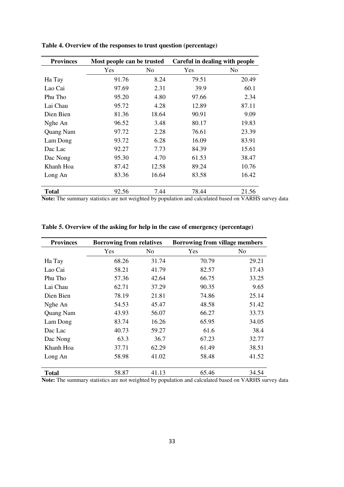| <b>Provinces</b> | Most people can be trusted                                                                              |       | Careful in dealing with people |                |
|------------------|---------------------------------------------------------------------------------------------------------|-------|--------------------------------|----------------|
|                  | Yes                                                                                                     | No.   | Yes                            | N <sub>0</sub> |
| Ha Tay           | 91.76                                                                                                   | 8.24  | 79.51                          | 20.49          |
| Lao Cai          | 97.69                                                                                                   | 2.31  | 39.9                           | 60.1           |
| Phu Tho          | 95.20                                                                                                   | 4.80  | 97.66                          | 2.34           |
| Lai Chau         | 95.72                                                                                                   | 4.28  | 12.89                          | 87.11          |
| Dien Bien        | 81.36                                                                                                   | 18.64 | 90.91                          | 9.09           |
| Nghe An          | 96.52                                                                                                   | 3.48  | 80.17                          | 19.83          |
| Quang Nam        | 97.72                                                                                                   | 2.28  | 76.61                          | 23.39          |
| Lam Dong         | 93.72                                                                                                   | 6.28  | 16.09                          | 83.91          |
| Dac Lac          | 92.27                                                                                                   | 7.73  | 84.39                          | 15.61          |
| Dac Nong         | 95.30                                                                                                   | 4.70  | 61.53                          | 38.47          |
| Khanh Hoa        | 87.42                                                                                                   | 12.58 | 89.24                          | 10.76          |
| Long An          | 83.36                                                                                                   | 16.64 | 83.58                          | 16.42          |
| <b>Total</b>     | 92.56<br>Matar The monocons statistics are not melaberal becaused at an and calculated because as MADHC | 7.44  | 78.44                          | 21.56          |

**Table 4. Overview of the responses to trust question (percentage)** 

**Note:** The summary statistics are not weighted by population and calculated based on VARHS survey data

| <b>Provinces</b> | <b>Borrowing from relatives</b> |       | <b>Borrowing from village members</b> |       |  |
|------------------|---------------------------------|-------|---------------------------------------|-------|--|
|                  | Yes                             | No    | Yes                                   | No    |  |
| Ha Tay           | 68.26                           | 31.74 | 70.79                                 | 29.21 |  |
| Lao Cai          | 58.21                           | 41.79 | 82.57                                 | 17.43 |  |
| Phu Tho          | 57.36                           | 42.64 | 66.75                                 | 33.25 |  |
| Lai Chau         | 62.71                           | 37.29 | 90.35                                 | 9.65  |  |
| Dien Bien        | 78.19                           | 21.81 | 74.86                                 | 25.14 |  |
| Nghe An          | 54.53                           | 45.47 | 48.58                                 | 51.42 |  |
| Quang Nam        | 43.93                           | 56.07 | 66.27                                 | 33.73 |  |
| Lam Dong         | 83.74                           | 16.26 | 65.95                                 | 34.05 |  |
| Dac Lac          | 40.73                           | 59.27 | 61.6                                  | 38.4  |  |
| Dac Nong         | 63.3                            | 36.7  | 67.23                                 | 32.77 |  |
| Khanh Hoa        | 37.71                           | 62.29 | 61.49                                 | 38.51 |  |
| Long An          | 58.98                           | 41.02 | 58.48                                 | 41.52 |  |
|                  |                                 |       |                                       |       |  |
| <b>Total</b>     | 58.87                           | 41.13 | 65.46                                 | 34.54 |  |

**Table 5. Overview of the asking for help in the case of emergency (percentage)** 

**Note:** The summary statistics are not weighted by population and calculated based on VARHS survey data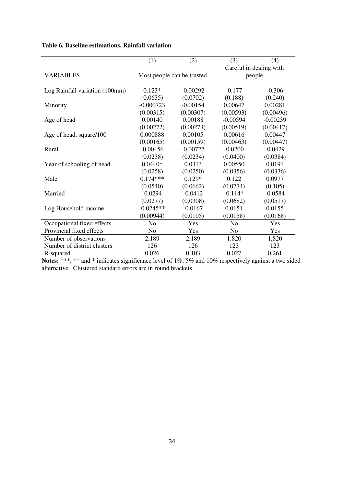|                                | (1)                        | (2)        | (3)            | (4)                     |
|--------------------------------|----------------------------|------------|----------------|-------------------------|
|                                |                            |            |                | Careful in dealing with |
| <b>VARIABLES</b>               | Most people can be trusted |            |                | people                  |
|                                |                            |            |                |                         |
| Log Rainfall variation (100mm) | $0.123*$                   | $-0.00292$ | $-0.177$       | $-0.306$                |
|                                | (0.0635)                   | (0.0702)   | (0.188)        | (0.240)                 |
| Minority                       | $-0.000723$                | $-0.00154$ | 0.00647        | 0.00281                 |
|                                | (0.00315)                  | (0.00307)  | (0.00593)      | (0.00496)               |
| Age of head                    | 0.00140                    | 0.00188    | $-0.00594$     | $-0.00239$              |
|                                | (0.00272)                  | (0.00273)  | (0.00519)      | (0.00417)               |
| Age of head, square/100        | 0.000888                   | 0.00105    | 0.00616        | 0.00447                 |
|                                | (0.00165)                  | (0.00159)  | (0.00463)      | (0.00447)               |
| Rural                          | $-0.00456$                 | $-0.00727$ | $-0.0200$      | $-0.0429$               |
|                                | (0.0238)                   | (0.0234)   | (0.0400)       | (0.0384)                |
| Year of schooling of head      | $0.0440*$                  | 0.0313     | 0.00550        | 0.0191                  |
|                                | (0.0258)                   | (0.0250)   | (0.0356)       | (0.0336)                |
| Male                           | $0.174***$                 | $0.129*$   | 0.122          | 0.0977                  |
|                                | (0.0540)                   | (0.0662)   | (0.0774)       | (0.105)                 |
| Married                        | $-0.0294$                  | $-0.0412$  | $-0.114*$      | $-0.0584$               |
|                                | (0.0277)                   | (0.0308)   | (0.0682)       | (0.0517)                |
| Log Household income           | $-0.0245**$                | $-0.0167$  | 0.0151         | 0.0155                  |
|                                | (0.00944)                  | (0.0105)   | (0.0158)       | (0.0168)                |
| Occupational fixed effects     | N <sub>0</sub>             | Yes        | N <sub>0</sub> | Yes                     |
| Provincial fixed effects       | No                         | Yes        | N <sub>o</sub> | Yes                     |
| Number of observations         | 2,189                      | 2,189      | 1,820          | 1,820                   |
| Number of district clusters    | 126                        | 126        | 123            | 123                     |
| R-squared                      | 0.026                      | 0.103      | 0.027          | 0.261                   |

# **Table 6. Baseline estimations. Rainfall variation**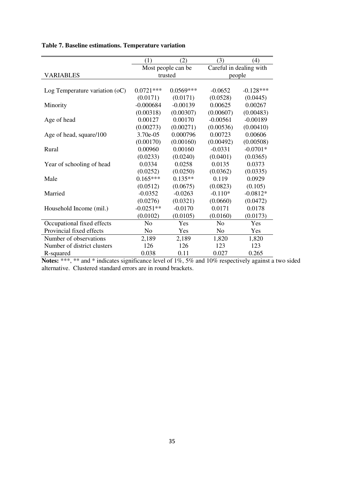|                                | (1)            | (2)                | (3)                     | (4)         |
|--------------------------------|----------------|--------------------|-------------------------|-------------|
|                                |                | Most people can be | Careful in dealing with |             |
| VARIABLES                      |                | trusted            | people                  |             |
|                                |                |                    |                         |             |
| Log Temperature variation (oC) | $0.0721***$    | $0.0569***$        | $-0.0652$               | $-0.128***$ |
|                                | (0.0171)       | (0.0171)           | (0.0528)                | (0.0445)    |
| Minority                       | $-0.000684$    | $-0.00139$         | 0.00625                 | 0.00267     |
|                                | (0.00318)      | (0.00307)          | (0.00607)               | (0.00483)   |
| Age of head                    | 0.00127        | 0.00170            | $-0.00561$              | $-0.00189$  |
|                                | (0.00273)      | (0.00271)          | (0.00536)               | (0.00410)   |
| Age of head, square/100        | 3.70e-05       | 0.000796           | 0.00723                 | 0.00606     |
|                                | (0.00170)      | (0.00160)          | (0.00492)               | (0.00508)   |
| Rural                          | 0.00960        | 0.00160            | $-0.0331$               | $-0.0701*$  |
|                                | (0.0233)       | (0.0240)           | (0.0401)                | (0.0365)    |
| Year of schooling of head      | 0.0334         | 0.0258             | 0.0135                  | 0.0373      |
|                                | (0.0252)       | (0.0250)           | (0.0362)                | (0.0335)    |
| Male                           | $0.165***$     | $0.135**$          | 0.119                   | 0.0929      |
|                                | (0.0512)       | (0.0675)           | (0.0823)                | (0.105)     |
| Married                        | $-0.0352$      | $-0.0263$          | $-0.110*$               | $-0.0812*$  |
|                                | (0.0276)       | (0.0321)           | (0.0660)                | (0.0472)    |
| Household Income (mil.)        | $-0.0251**$    | $-0.0170$          | 0.0171                  | 0.0178      |
|                                | (0.0102)       | (0.0105)           | (0.0160)                | (0.0173)    |
| Occupational fixed effects     | N <sub>o</sub> | Yes                | N <sub>o</sub>          | Yes         |
| Provincial fixed effects       | N <sub>0</sub> | Yes                | No                      | Yes         |
| Number of observations         | 2,189          | 2,189              | 1,820                   | 1,820       |
| Number of district clusters    | 126            | 126                | 123                     | 123         |
| R-squared                      | 0.038          | 0.11               | 0.027                   | 0.265       |

# **Table 7. Baseline estimations. Temperature variation**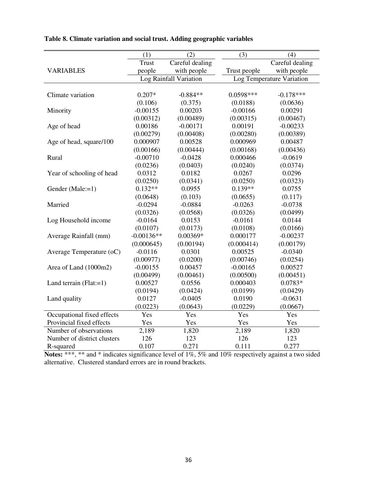|                             | (1)          | (2)                    | (3)          | (4)                       |
|-----------------------------|--------------|------------------------|--------------|---------------------------|
|                             | <b>Trust</b> | Careful dealing        |              | Careful dealing           |
| <b>VARIABLES</b>            | people       | with people            | Trust people | with people               |
|                             |              | Log Rainfall Variation |              | Log Temperature Variation |
|                             |              |                        |              |                           |
| Climate variation           | $0.207*$     | $-0.884**$             | $0.0598***$  | $-0.178***$               |
|                             | (0.106)      | (0.375)                | (0.0188)     | (0.0636)                  |
| Minority                    | $-0.00155$   | 0.00203                | $-0.00166$   | 0.00291                   |
|                             | (0.00312)    | (0.00489)              | (0.00315)    | (0.00467)                 |
| Age of head                 | 0.00186      | $-0.00171$             | 0.00191      | $-0.00233$                |
|                             | (0.00279)    | (0.00408)              | (0.00280)    | (0.00389)                 |
| Age of head, square/100     | 0.000907     | 0.00528                | 0.000969     | 0.00487                   |
|                             | (0.00166)    | (0.00444)              | (0.00168)    | (0.00436)                 |
| Rural                       | $-0.00710$   | $-0.0428$              | 0.000466     | $-0.0619$                 |
|                             | (0.0236)     | (0.0403)               | (0.0240)     | (0.0374)                  |
| Year of schooling of head   | 0.0312       | 0.0182                 | 0.0267       | 0.0296                    |
|                             | (0.0250)     | (0.0341)               | (0.0250)     | (0.0323)                  |
| Gender (Male:=1)            | $0.132**$    | 0.0955                 | $0.139**$    | 0.0755                    |
|                             | (0.0648)     | (0.103)                | (0.0655)     | (0.117)                   |
| Married                     | $-0.0294$    | $-0.0884$              | $-0.0263$    | $-0.0738$                 |
|                             | (0.0326)     | (0.0568)               | (0.0326)     | (0.0499)                  |
| Log Household income        | $-0.0164$    | 0.0153                 | $-0.0161$    | 0.0144                    |
|                             | (0.0107)     | (0.0173)               | (0.0108)     | (0.0166)                  |
| Average Rainfall (mm)       | $-0.00136**$ | $0.00369*$             | 0.000177     | $-0.00237$                |
|                             | (0.000645)   | (0.00194)              | (0.000414)   | (0.00179)                 |
| Average Temperature (oC)    | $-0.0116$    | 0.0301                 | 0.00525      | $-0.0340$                 |
|                             | (0.00977)    | (0.0200)               | (0.00746)    | (0.0254)                  |
| Area of Land (1000m2)       | $-0.00155$   | 0.00457                | $-0.00165$   | 0.00527                   |
|                             | (0.00499)    | (0.00461)              | (0.00500)    | (0.00451)                 |
| Land terrain $(Flat:=1)$    | 0.00527      | 0.0556                 | 0.000403     | $0.0783*$                 |
|                             | (0.0194)     | (0.0424)               | (0.0199)     | (0.0429)                  |
| Land quality                | 0.0127       | $-0.0405$              | 0.0190       | $-0.0631$                 |
|                             | (0.0223)     | (0.0643)               | (0.0229)     | (0.0667)                  |
| Occupational fixed effects  | Yes          | Yes                    | Yes          | Yes                       |
| Provincial fixed effects    | Yes          | Yes                    | Yes          | Yes                       |
| Number of observations      | 2,189        | 1,820                  | 2,189        | 1,820                     |
| Number of district clusters | 126          | 123                    | 126          | 123                       |
| R-squared                   | 0.107        | 0.271                  | 0.111        | 0.277                     |

**Table 8. Climate variation and social trust. Adding geographic variables**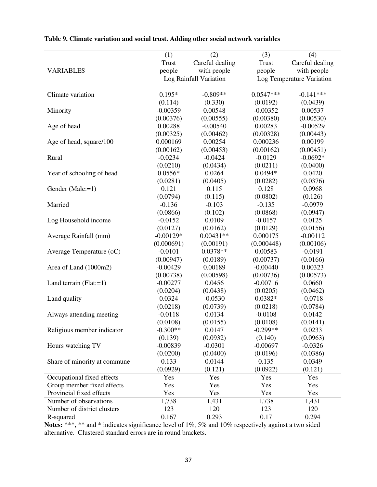|                              | (1)          | (2)                    | (3)         | (4)                       |
|------------------------------|--------------|------------------------|-------------|---------------------------|
|                              | <b>Trust</b> | Careful dealing        | Trust       | Careful dealing           |
| <b>VARIABLES</b>             | people       | with people            | people      | with people               |
|                              |              | Log Rainfall Variation |             | Log Temperature Variation |
|                              |              |                        |             |                           |
| Climate variation            | $0.195*$     | $-0.809**$             | $0.0547***$ | $-0.141***$               |
|                              | (0.114)      | (0.330)                | (0.0192)    | (0.0439)                  |
| Minority                     | $-0.00359$   | 0.00548                | $-0.00352$  | 0.00537                   |
|                              | (0.00376)    | (0.00555)              | (0.00380)   | (0.00530)                 |
| Age of head                  | 0.00288      | $-0.00540$             | 0.00283     | $-0.00529$                |
|                              | (0.00325)    | (0.00462)              | (0.00328)   | (0.00443)                 |
| Age of head, square/100      | 0.000169     | 0.00254                | 0.000236    | 0.00199                   |
|                              | (0.00162)    | (0.00453)              | (0.00162)   | (0.00451)                 |
| Rural                        | $-0.0234$    | $-0.0424$              | $-0.0129$   | $-0.0692*$                |
|                              | (0.0210)     | (0.0434)               | (0.0211)    | (0.0400)                  |
| Year of schooling of head    | $0.0556*$    | 0.0264                 | $0.0494*$   | 0.0420                    |
|                              | (0.0281)     | (0.0405)               | (0.0282)    | (0.0376)                  |
| Gender (Male:=1)             | 0.121        | 0.115                  | 0.128       | 0.0968                    |
|                              | (0.0794)     | (0.115)                | (0.0802)    | (0.126)                   |
| Married                      | $-0.136$     | $-0.103$               | $-0.135$    | $-0.0979$                 |
|                              | (0.0866)     | (0.102)                | (0.0868)    | (0.0947)                  |
| Log Household income         | $-0.0152$    | 0.0109                 | $-0.0157$   | 0.0125                    |
|                              | (0.0127)     | (0.0162)               | (0.0129)    | (0.0156)                  |
| Average Rainfall (mm)        | $-0.00129*$  | $0.00431**$            | 0.000175    | $-0.00112$                |
|                              | (0.000691)   | (0.00191)              | (0.000448)  | (0.00106)                 |
| Average Temperature (oC)     | $-0.0101$    | $0.0378**$             | 0.00583     | $-0.0191$                 |
|                              | (0.00947)    | (0.0189)               | (0.00737)   | (0.0166)                  |
| Area of Land (1000m2)        | $-0.00429$   | 0.00189                | $-0.00440$  | 0.00323                   |
|                              | (0.00738)    | (0.00598)              | (0.00736)   | (0.00573)                 |
| Land terrain $(Flat:=1)$     | $-0.00277$   | 0.0456                 | $-0.00716$  | 0.0660                    |
|                              | (0.0204)     | (0.0438)               | (0.0205)    | (0.0462)                  |
| Land quality                 | 0.0324       | $-0.0530$              | $0.0382*$   | $-0.0718$                 |
|                              | (0.0218)     | (0.0739)               | (0.0218)    | (0.0784)                  |
| Always attending meeting     | $-0.0118$    | 0.0134                 | $-0.0108$   | 0.0142                    |
|                              | (0.0108)     | (0.0155)               | (0.0108)    | (0.0141)                  |
| Religious member indicator   | $-0.300**$   | 0.0147                 | $-0.299**$  | 0.0233                    |
|                              | (0.139)      | (0.0932)               | (0.140)     | (0.0963)                  |
| Hours watching TV            | $-0.00839$   | $-0.0301$              | $-0.00697$  | $-0.0326$                 |
|                              | (0.0200)     | (0.0400)               | (0.0196)    | (0.0386)                  |
| Share of minority at commune | 0.133        | 0.0144                 | 0.135       | 0.0349                    |
|                              | (0.0929)     | (0.121)                | (0.0922)    | (0.121)                   |
| Occupational fixed effects   | Yes          | Yes                    | Yes         | Yes                       |
| Group member fixed effects   | Yes          | Yes                    | Yes         | Yes                       |
| Provincial fixed effects     | Yes          | Yes                    | Yes         | Yes                       |
| Number of observations       | 1,738        | 1,431                  | 1,738       | 1,431                     |
| Number of district clusters  | 123          | 120                    | 123         | 120                       |
| R-squared                    | 0.167        | 0.293                  | 0.17        | 0.294                     |

|  |  |  |  |  | Table 9. Climate variation and social trust. Adding other social network variables |  |
|--|--|--|--|--|------------------------------------------------------------------------------------|--|
|--|--|--|--|--|------------------------------------------------------------------------------------|--|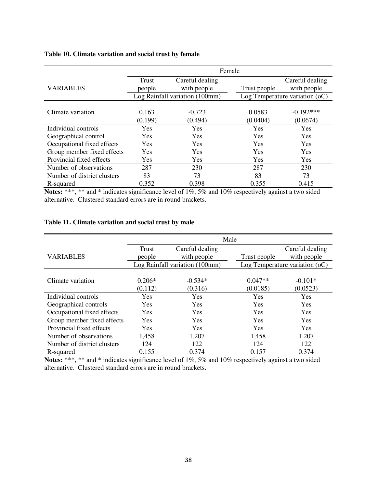# **Table 10. Climate variation and social trust by female**

|                             | Female     |                                |              |                                  |  |  |
|-----------------------------|------------|--------------------------------|--------------|----------------------------------|--|--|
|                             | Trust      | Careful dealing                |              | Careful dealing                  |  |  |
| <b>VARIABLES</b>            | people     | with people                    | Trust people | with people                      |  |  |
|                             |            | Log Rainfall variation (100mm) |              | Log Temperature variation $(oC)$ |  |  |
|                             |            |                                |              |                                  |  |  |
| Climate variation           | 0.163      | $-0.723$                       | 0.0583       | $-0.192***$                      |  |  |
|                             | (0.199)    | (0.494)                        | (0.0404)     | (0.0674)                         |  |  |
| Individual controls         | Yes        | <b>Yes</b>                     | Yes          | Yes                              |  |  |
| Geographical control        | <b>Yes</b> | <b>Yes</b>                     | Yes          | Yes                              |  |  |
| Occupational fixed effects  | <b>Yes</b> | Yes                            | Yes          | Yes                              |  |  |
| Group member fixed effects  | Yes        | Yes                            | Yes          | Yes                              |  |  |
| Provincial fixed effects    | Yes        | Yes                            | Yes          | Yes                              |  |  |
| Number of observations      | 287        | 230                            | 287          | 230                              |  |  |
| Number of district clusters | 83         | 73                             | 83           | 73                               |  |  |
| R-squared                   | 0.352      | 0.398                          | 0.355        | 0.415                            |  |  |

**Notes:** \*\*\*, \*\* and \* indicates significance level of 1%, 5% and 10% respectively against a two sided alternative. Clustered standard errors are in round brackets.

## **Table 11. Climate variation and social trust by male**

|                             | Male     |                                |              |                                  |  |  |
|-----------------------------|----------|--------------------------------|--------------|----------------------------------|--|--|
|                             | Trust    | Careful dealing                |              | Careful dealing                  |  |  |
| <b>VARIABLES</b>            | people   | with people                    | Trust people | with people                      |  |  |
|                             |          | Log Rainfall variation (100mm) |              | Log Temperature variation $(oC)$ |  |  |
|                             |          |                                |              |                                  |  |  |
| Climate variation           | $0.206*$ | $-0.534*$                      | $0.047**$    | $-0.101*$                        |  |  |
|                             | (0.112)  | (0.316)                        | (0.0185)     | (0.0523)                         |  |  |
| Individual controls         | Yes      | Yes                            | Yes          | Yes                              |  |  |
| Geographical controls       | Yes      | Yes                            | Yes          | Yes                              |  |  |
| Occupational fixed effects  | Yes      | Yes                            | Yes          | Yes                              |  |  |
| Group member fixed effects  | Yes      | Yes                            | Yes          | Yes                              |  |  |
| Provincial fixed effects    | Yes      | <b>Yes</b>                     | <b>Yes</b>   | <b>Yes</b>                       |  |  |
| Number of observations      | 1,458    | 1,207                          | 1,458        | 1,207                            |  |  |
| Number of district clusters | 124      | 122                            | 124          | 122                              |  |  |
| R-squared                   | 0.155    | 0.374                          | 0.157        | 0.374                            |  |  |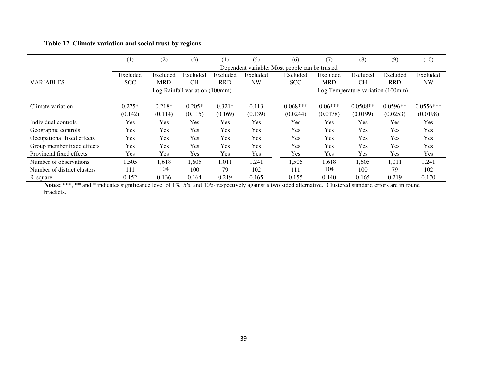# **Table 12. Climate variation and social trust by regions**

|                             | $\left(1\right)$               | (2)        | (3)       | (4)        | (5)                               | (6)                                            | (7)        | (8)        | (9)        | (10)        |
|-----------------------------|--------------------------------|------------|-----------|------------|-----------------------------------|------------------------------------------------|------------|------------|------------|-------------|
|                             |                                |            |           |            |                                   | Dependent variable: Most people can be trusted |            |            |            |             |
|                             | Excluded                       | Excluded   | Excluded  | Excluded   | Excluded                          | Excluded                                       | Excluded   | Excluded   | Excluded   | Excluded    |
| <b>VARIABLES</b>            | <b>SCC</b>                     | <b>MRD</b> | <b>CH</b> | <b>RRD</b> | <b>NW</b>                         | <b>SCC</b>                                     | <b>MRD</b> | <b>CH</b>  | <b>RRD</b> | <b>NW</b>   |
|                             | Log Rainfall variation (100mm) |            |           |            | Log Temperature variation (100mm) |                                                |            |            |            |             |
|                             |                                |            |           |            |                                   |                                                |            |            |            |             |
| Climate variation           | $0.275*$                       | $0.218*$   | $0.205*$  | $0.321*$   | 0.113                             | $0.068***$                                     | $0.06***$  | $0.0508**$ | $0.0596**$ | $0.0556***$ |
|                             | (0.142)                        | (0.114)    | (0.115)   | (0.169)    | (0.139)                           | (0.0244)                                       | (0.0178)   | (0.0199)   | (0.0253)   | (0.0198)    |
| Individual controls         | Yes                            | <b>Yes</b> | Yes       | Yes        | Yes                               | Yes                                            | Yes        | Yes        | Yes        | Yes         |
| Geographic controls         | Yes                            | Yes        | Yes       | Yes        | Yes                               | Yes                                            | Yes        | Yes        | Yes        | Yes         |
| Occupational fixed effects  | Yes                            | <b>Yes</b> | Yes       | Yes        | Yes                               | Yes                                            | Yes        | Yes        | Yes        | Yes         |
| Group member fixed effects  | Yes                            | Yes        | Yes       | Yes        | Yes                               | Yes                                            | Yes        | Yes        | Yes        | Yes         |
| Provincial fixed effects    | <b>Yes</b>                     | <b>Yes</b> | Yes       | Yes        | Yes                               | Yes                                            | Yes        | Yes        | Yes        | Yes         |
| Number of observations      | 1,505                          | 1,618      | 1,605     | 1,011      | 1,241                             | 1,505                                          | 1,618      | 1,605      | 1,011      | 1,241       |
| Number of district clusters | 111                            | 104        | 100       | 79         | 102                               | 111                                            | 104        | 100        | 79         | 102         |
| R-square                    | 0.152                          | 0.136      | 0.164     | 0.219      | 0.165                             | 0.155                                          | 0.140      | 0.165      | 0.219      | 0.170       |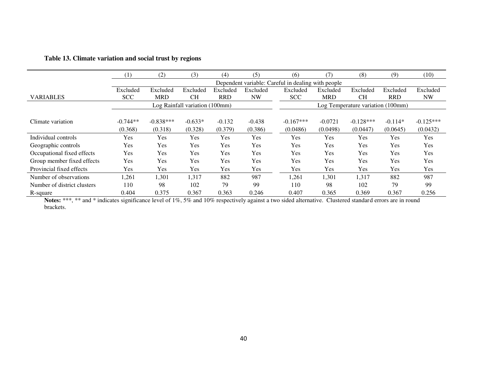|                             | (1)                            | (2)                                                | (3)       | (4)        | (5)                               | (6)         | (7)        | (8)         | (9)        | (10)        |
|-----------------------------|--------------------------------|----------------------------------------------------|-----------|------------|-----------------------------------|-------------|------------|-------------|------------|-------------|
|                             |                                | Dependent variable: Careful in dealing with people |           |            |                                   |             |            |             |            |             |
|                             | Excluded                       | Excluded                                           | Excluded  | Excluded   | Excluded                          | Excluded    | Excluded   | Excluded    | Excluded   | Excluded    |
| <b>VARIABLES</b>            | <b>SCC</b>                     | <b>MRD</b>                                         | <b>CH</b> | <b>RRD</b> | <b>NW</b>                         | <b>SCC</b>  | <b>MRD</b> | <b>CH</b>   | <b>RRD</b> | <b>NW</b>   |
|                             | Log Rainfall variation (100mm) |                                                    |           |            | Log Temperature variation (100mm) |             |            |             |            |             |
|                             |                                |                                                    |           |            |                                   |             |            |             |            |             |
| Climate variation           | $-0.744**$                     | $-0.838***$                                        | $-0.633*$ | $-0.132$   | $-0.438$                          | $-0.167***$ | $-0.0721$  | $-0.128***$ | $-0.114*$  | $-0.125***$ |
|                             | (0.368)                        | (0.318)                                            | (0.328)   | (0.379)    | (0.386)                           | (0.0486)    | (0.0498)   | (0.0447)    | (0.0645)   | (0.0432)    |
| Individual controls         | Yes                            | <b>Yes</b>                                         | Yes       | <b>Yes</b> | Yes                               | Yes         | Yes        | Yes         | Yes        | Yes         |
| Geographic controls         | Yes                            | Yes                                                | Yes       | Yes        | Yes                               | Yes         | Yes        | Yes         | Yes        | Yes         |
| Occupational fixed effects  | Yes                            | Yes                                                | Yes       | Yes        | Yes                               | Yes         | Yes        | Yes         | Yes        | Yes         |
| Group member fixed effects  | <b>Yes</b>                     | Yes                                                | Yes       | Yes        | Yes                               | Yes         | Yes        | Yes         | <b>Yes</b> | <b>Yes</b>  |
| Provincial fixed effects    | Yes                            | Yes                                                | Yes       | Yes        | Yes                               | Yes         | Yes        | Yes         | Yes        | Yes         |
| Number of observations      | 1,261                          | 1,301                                              | 1,317     | 882        | 987                               | 1,261       | 1,301      | 1,317       | 882        | 987         |
| Number of district clusters | 110                            | 98                                                 | 102       | 79         | 99                                | 110         | 98         | 102         | 79         | 99          |
| R-square                    | 0.404                          | 0.375                                              | 0.367     | 0.363      | 0.246                             | 0.407       | 0.365      | 0.369       | 0.367      | 0.256       |

# **Table 13. Climate variation and social trust by regions**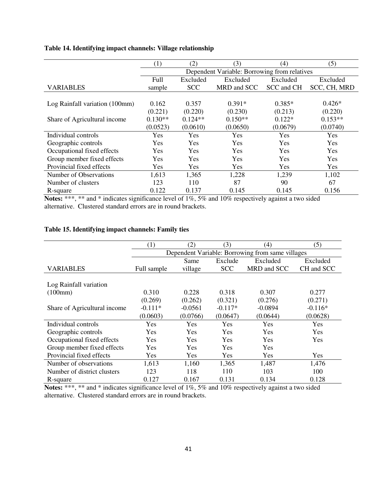# **Table 14. Identifying impact channels: Village relationship**

|                                | (1)       | (2)                                          | (3)         | (4)        | (5)          |  |  |  |  |
|--------------------------------|-----------|----------------------------------------------|-------------|------------|--------------|--|--|--|--|
|                                |           | Dependent Variable: Borrowing from relatives |             |            |              |  |  |  |  |
|                                | Full      | Excluded                                     | Excluded    | Excluded   | Excluded     |  |  |  |  |
| <b>VARIABLES</b>               | sample    | <b>SCC</b>                                   | MRD and SCC | SCC and CH | SCC, CH, MRD |  |  |  |  |
|                                |           |                                              |             |            |              |  |  |  |  |
| Log Rainfall variation (100mm) | 0.162     | 0.357                                        | $0.391*$    | $0.385*$   | $0.426*$     |  |  |  |  |
|                                | (0.221)   | (0.220)                                      | (0.230)     | (0.213)    | (0.220)      |  |  |  |  |
| Share of Agricultural income   | $0.130**$ | $0.124**$                                    | $0.150**$   | $0.122*$   | $0.153**$    |  |  |  |  |
|                                | (0.0523)  | (0.0610)                                     | (0.0650)    | (0.0679)   | (0.0740)     |  |  |  |  |
| Individual controls            | Yes       | Yes                                          | Yes         | Yes        | Yes          |  |  |  |  |
| Geographic controls            | Yes       | <b>Yes</b>                                   | Yes         | Yes        | Yes          |  |  |  |  |
| Occupational fixed effects     | Yes       | Yes                                          | Yes         | Yes        | Yes          |  |  |  |  |
| Group member fixed effects     | Yes       | Yes                                          | Yes         | Yes        | Yes          |  |  |  |  |
| Provincial fixed effects       | Yes       | Yes                                          | Yes         | Yes        | Yes          |  |  |  |  |
| Number of Observations         | 1,613     | 1,365                                        | 1,228       | 1,239      | 1,102        |  |  |  |  |
| Number of clusters             | 123       | 110                                          | 87          | 90         | 67           |  |  |  |  |
| R-square                       | 0.122     | 0.137                                        | 0.145       | 0.145      | 0.156        |  |  |  |  |

**Notes:** \*\*\*, \*\* and \* indicates significance level of 1%, 5% and 10% respectively against a two sided alternative. Clustered standard errors are in round brackets.

# **Table 15. Identifying impact channels: Family ties**

|                              | (1)                                              | (2)       | (3)        | (4)         | (5)        |  |  |  |
|------------------------------|--------------------------------------------------|-----------|------------|-------------|------------|--|--|--|
|                              | Dependent Variable: Borrowing from same villages |           |            |             |            |  |  |  |
|                              |                                                  | Same      | Exclude    | Excluded    | Excluded   |  |  |  |
| <b>VARIABLES</b>             | Full sample                                      | village   | <b>SCC</b> | MRD and SCC | CH and SCC |  |  |  |
|                              |                                                  |           |            |             |            |  |  |  |
| Log Rainfall variation       |                                                  |           |            |             |            |  |  |  |
| (100mm)                      | 0.310                                            | 0.228     | 0.318      | 0.307       | 0.277      |  |  |  |
|                              | (0.269)                                          | (0.262)   | (0.321)    | (0.276)     | (0.271)    |  |  |  |
| Share of Agricultural income | $-0.111*$                                        | $-0.0561$ | $-0.117*$  | $-0.0894$   | $-0.116*$  |  |  |  |
|                              | (0.0603)                                         | (0.0766)  | (0.0647)   | (0.0644)    | (0.0628)   |  |  |  |
| Individual controls          | Yes                                              | Yes       | Yes        | Yes         | Yes        |  |  |  |
| Geographic controls          | Yes                                              | Yes       | Yes        | Yes         | Yes        |  |  |  |
| Occupational fixed effects   | Yes                                              | Yes       | Yes        | <b>Yes</b>  | <b>Yes</b> |  |  |  |
| Group member fixed effects   | <b>Yes</b>                                       | Yes       | Yes        | Yes         |            |  |  |  |
| Provincial fixed effects     | Yes                                              | Yes       | <b>Yes</b> | <b>Yes</b>  | Yes        |  |  |  |
| Number of observations       | 1,613                                            | 1,160     | 1,365      | 1,487       | 1,476      |  |  |  |
| Number of district clusters  | 123                                              | 118       | 110        | 103         | 100        |  |  |  |
| R-square                     | 0.127                                            | 0.167     | 0.131      | 0.134       | 0.128      |  |  |  |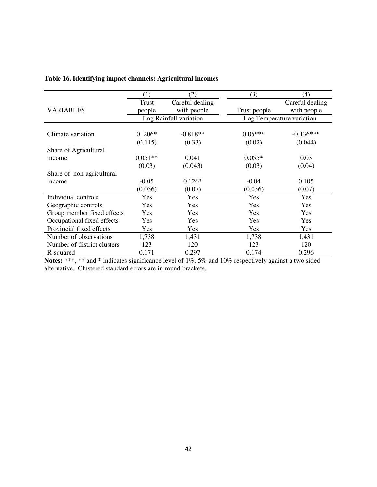|                             | (1)                    | (2)             | (3)          | (4)                       |
|-----------------------------|------------------------|-----------------|--------------|---------------------------|
|                             | Trust                  | Careful dealing |              | Careful dealing           |
| <b>VARIABLES</b>            | people                 | with people     | Trust people | with people               |
|                             | Log Rainfall variation |                 |              | Log Temperature variation |
|                             |                        |                 |              |                           |
| Climate variation           | $0.206*$               | $-0.818**$      | $0.05***$    | $-0.136***$               |
|                             | (0.115)                | (0.33)          | (0.02)       | (0.044)                   |
| Share of Agricultural       |                        |                 |              |                           |
| income                      | $0.051**$              | 0.041           | $0.055*$     | 0.03                      |
|                             | (0.03)                 | (0.043)         | (0.03)       | (0.04)                    |
| Share of non-agricultural   |                        |                 |              |                           |
| income                      | $-0.05$                | $0.126*$        | $-0.04$      | 0.105                     |
|                             | (0.036)                | (0.07)          | (0.036)      | (0.07)                    |
| Individual controls         | Yes                    | Yes             | Yes          | Yes                       |
| Geographic controls         | Yes                    | Yes             | Yes          | Yes                       |
| Group member fixed effects  | Yes                    | Yes             | Yes          | Yes                       |
| Occupational fixed effects  | Yes                    | Yes             | Yes          | Yes                       |
| Provincial fixed effects    | Yes                    | Yes             | Yes          | Yes                       |
| Number of observations      | 1,738                  | 1,431           | 1,738        | 1,431                     |
| Number of district clusters | 123                    | 120             | 123          | 120                       |
| R-squared                   | 0.171                  | 0.297           | 0.174        | 0.296                     |

# **Table 16. Identifying impact channels: Agricultural incomes**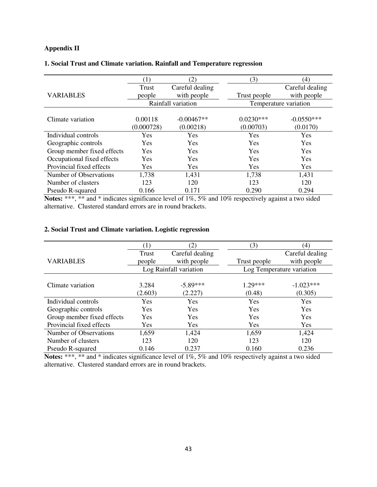# **Appendix II**

|                            | (1)        | (2)                | (3)          | (4)                   |
|----------------------------|------------|--------------------|--------------|-----------------------|
|                            | Trust      | Careful dealing    |              | Careful dealing       |
| <b>VARIABLES</b>           | people     | with people        | Trust people | with people           |
|                            |            | Rainfall variation |              | Temperature variation |
|                            |            |                    |              |                       |
| Climate variation          | 0.00118    | $-0.00467**$       | $0.0230***$  | $-0.0550***$          |
|                            | (0.000728) | (0.00218)          | (0.00703)    | (0.0170)              |
| Individual controls        | Yes        | <b>Yes</b>         | Yes          | <b>Yes</b>            |
| Geographic controls        | <b>Yes</b> | <b>Yes</b>         | Yes          | <b>Yes</b>            |
| Group member fixed effects | <b>Yes</b> | <b>Yes</b>         | Yes          | <b>Yes</b>            |
| Occupational fixed effects | Yes        | Yes                | Yes          | Yes                   |
| Provincial fixed effects   | <b>Yes</b> | Yes                | Yes          | Yes                   |
| Number of Observations     | 1,738      | 1,431              | 1,738        | 1,431                 |
| Number of clusters         | 123        | 120                | 123          | 120                   |
| Pseudo R-squared           | 0.166      | 0.171              | 0.290        | 0.294                 |

## **1. Social Trust and Climate variation. Rainfall and Temperature regression**

**Notes:** \*\*\*, \*\* and \* indicates significance level of 1%, 5% and 10% respectively against a two sided alternative. Clustered standard errors are in round brackets.

## **2. Social Trust and Climate variation. Logistic regression**

|                            |            | (2)                    | (3)          | (4)                       |
|----------------------------|------------|------------------------|--------------|---------------------------|
|                            | Trust      | Careful dealing        |              | Careful dealing           |
| <b>VARIABLES</b>           | people     | with people            | Trust people | with people               |
|                            |            | Log Rainfall variation |              | Log Temperature variation |
|                            |            |                        |              |                           |
| Climate variation          | 3.284      | $-5.89***$             | $1.29***$    | $-1.023***$               |
|                            | (2.603)    | (2.227)                | (0.48)       | (0.305)                   |
| Individual controls        | Yes        | Yes                    | Yes          | Yes                       |
| Geographic controls        | <b>Yes</b> | Yes                    | Yes          | Yes                       |
| Group member fixed effects | Yes        | <b>Yes</b>             | Yes          | Yes                       |
| Provincial fixed effects   | <b>Yes</b> | Yes                    | Yes          | Yes                       |
| Number of Observations     | 1,659      | 1,424                  | 1,659        | 1,424                     |
| Number of clusters         | 123        | 120                    | 123          | 120                       |
| Pseudo R-squared           | 0.146      | 0.237                  | 0.160        | 0.236                     |